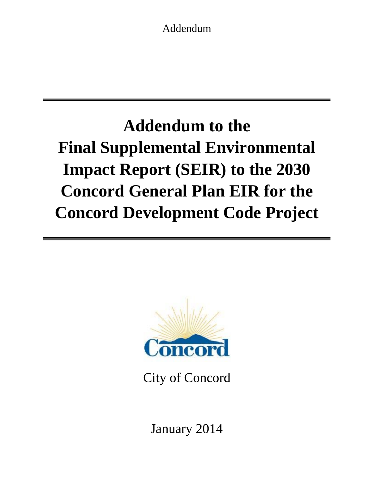Addendum

# **Addendum to the Final Supplemental Environmental Impact Report (SEIR) to the 2030 Concord General Plan EIR for the Concord Development Code Project**



City of Concord

January 2014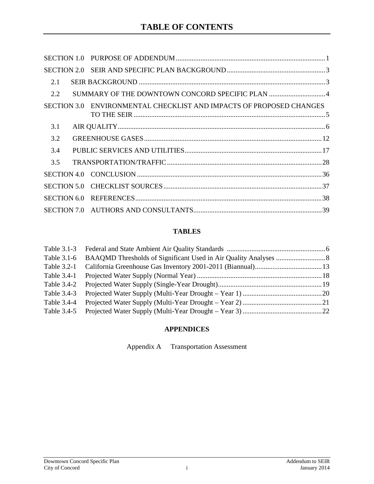| 2.1         |                                                                     |  |
|-------------|---------------------------------------------------------------------|--|
| 2.2         |                                                                     |  |
|             | SECTION 3.0 ENVIRONMENTAL CHECKLIST AND IMPACTS OF PROPOSED CHANGES |  |
| 3.1         |                                                                     |  |
| 3.2         |                                                                     |  |
| 3.4         |                                                                     |  |
| 3.5         |                                                                     |  |
|             |                                                                     |  |
|             |                                                                     |  |
| SECTION 6.0 |                                                                     |  |
|             |                                                                     |  |

## **TABLES**

| Table 3.1-6 |  |
|-------------|--|
|             |  |
| Table 3.4-1 |  |
| Table 3.4-2 |  |
| Table 3.4-3 |  |
| Table 3.4-4 |  |
| Table 3.4-5 |  |

## **APPENDICES**

Appendix A Transportation Assessment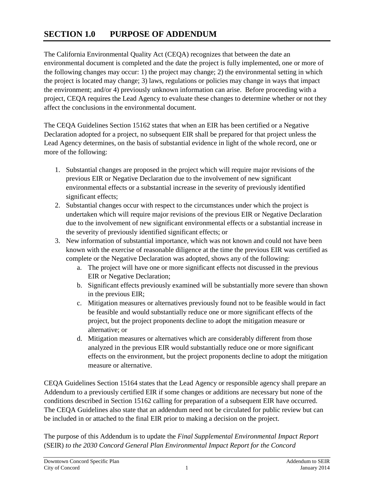# <span id="page-2-0"></span>**SECTION 1.0 PURPOSE OF ADDENDUM**

The California Environmental Quality Act (CEQA) recognizes that between the date an environmental document is completed and the date the project is fully implemented, one or more of the following changes may occur: 1) the project may change; 2) the environmental setting in which the project is located may change; 3) laws, regulations or policies may change in ways that impact the environment; and/or 4) previously unknown information can arise. Before proceeding with a project, CEQA requires the Lead Agency to evaluate these changes to determine whether or not they affect the conclusions in the environmental document.

The CEQA Guidelines Section 15162 states that when an EIR has been certified or a Negative Declaration adopted for a project, no subsequent EIR shall be prepared for that project unless the Lead Agency determines, on the basis of substantial evidence in light of the whole record, one or more of the following:

- 1. Substantial changes are proposed in the project which will require major revisions of the previous EIR or Negative Declaration due to the involvement of new significant environmental effects or a substantial increase in the severity of previously identified significant effects;
- 2. Substantial changes occur with respect to the circumstances under which the project is undertaken which will require major revisions of the previous EIR or Negative Declaration due to the involvement of new significant environmental effects or a substantial increase in the severity of previously identified significant effects; or
- 3. New information of substantial importance, which was not known and could not have been known with the exercise of reasonable diligence at the time the previous EIR was certified as complete or the Negative Declaration was adopted, shows any of the following:
	- a. The project will have one or more significant effects not discussed in the previous EIR or Negative Declaration;
	- b. Significant effects previously examined will be substantially more severe than shown in the previous EIR;
	- c. Mitigation measures or alternatives previously found not to be feasible would in fact be feasible and would substantially reduce one or more significant effects of the project, but the project proponents decline to adopt the mitigation measure or alternative; or
	- d. Mitigation measures or alternatives which are considerably different from those analyzed in the previous EIR would substantially reduce one or more significant effects on the environment, but the project proponents decline to adopt the mitigation measure or alternative.

CEQA Guidelines Section 15164 states that the Lead Agency or responsible agency shall prepare an Addendum to a previously certified EIR if some changes or additions are necessary but none of the conditions described in Section 15162 calling for preparation of a subsequent EIR have occurred. The CEQA Guidelines also state that an addendum need not be circulated for public review but can be included in or attached to the final EIR prior to making a decision on the project.

The purpose of this Addendum is to update the *Final Supplemental Environmental Impact Report*  (SEIR) *to the 2030 Concord General Plan Environmental Impact Report for the Concord*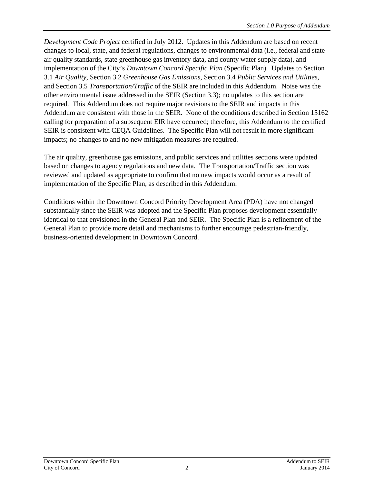*Development Code Project* certified in July 2012. Updates in this Addendum are based on recent changes to local, state, and federal regulations, changes to environmental data (i.e., federal and state air quality standards, state greenhouse gas inventory data, and county water supply data), and implementation of the City's *Downtown Concord Specific Plan* (Specific Plan). Updates to Section 3.1 *Air Quality*, Section 3.2 *Greenhouse Gas Emissions*, Section 3.4 *Public Services and Utilities,* and Section 3.5 *Transportation/Traffic* of the SEIR are included in this Addendum. Noise was the other environmental issue addressed in the SEIR (Section 3.3); no updates to this section are required*.* This Addendum does not require major revisions to the SEIR and impacts in this Addendum are consistent with those in the SEIR. None of the conditions described in Section 15162 calling for preparation of a subsequent EIR have occurred; therefore, this Addendum to the certified SEIR is consistent with CEQA Guidelines. The Specific Plan will not result in more significant impacts; no changes to and no new mitigation measures are required.

The air quality, greenhouse gas emissions, and public services and utilities sections were updated based on changes to agency regulations and new data. The Transportation/Traffic section was reviewed and updated as appropriate to confirm that no new impacts would occur as a result of implementation of the Specific Plan, as described in this Addendum.

Conditions within the Downtown Concord Priority Development Area (PDA) have not changed substantially since the SEIR was adopted and the Specific Plan proposes development essentially identical to that envisioned in the General Plan and SEIR. The Specific Plan is a refinement of the General Plan to provide more detail and mechanisms to further encourage pedestrian-friendly, business-oriented development in Downtown Concord.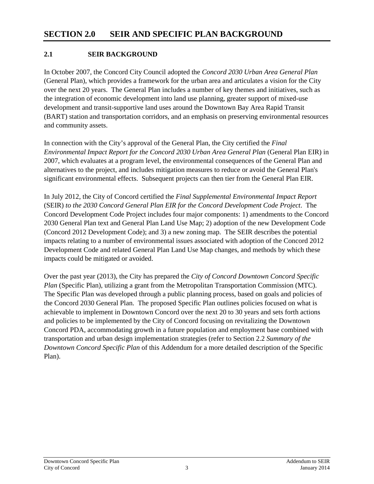#### <span id="page-4-1"></span><span id="page-4-0"></span>**2.1 SEIR BACKGROUND**

In October 2007, the Concord City Council adopted the *Concord 2030 Urban Area General Plan* (General Plan), which provides a framework for the urban area and articulates a vision for the City over the next 20 years. The General Plan includes a number of key themes and initiatives, such as the integration of economic development into land use planning, greater support of mixed-use development and transit-supportive land uses around the Downtown Bay Area Rapid Transit (BART) station and transportation corridors, and an emphasis on preserving environmental resources and community assets.

In connection with the City's approval of the General Plan, the City certified the *Final Environmental Impact Report for the Concord 2030 Urban Area General Plan* (General Plan EIR) in 2007, which evaluates at a program level, the environmental consequences of the General Plan and alternatives to the project, and includes mitigation measures to reduce or avoid the General Plan's significant environmental effects. Subsequent projects can then tier from the General Plan EIR.

In July 2012, the City of Concord certified the *Final Supplemental Environmental Impact Report*  (SEIR) *to the 2030 Concord General Plan EIR for the Concord Development Code Project*. The Concord Development Code Project includes four major components: 1) amendments to the Concord 2030 General Plan text and General Plan Land Use Map; 2) adoption of the new Development Code (Concord 2012 Development Code); and 3) a new zoning map. The SEIR describes the potential impacts relating to a number of environmental issues associated with adoption of the Concord 2012 Development Code and related General Plan Land Use Map changes, and methods by which these impacts could be mitigated or avoided.

Over the past year (2013), the City has prepared the *City of Concord Downtown Concord Specific Plan* (Specific Plan), utilizing a grant from the Metropolitan Transportation Commission (MTC). The Specific Plan was developed through a public planning process, based on goals and policies of the Concord 2030 General Plan. The proposed Specific Plan outlines policies focused on what is achievable to implement in Downtown Concord over the next 20 to 30 years and sets forth actions and policies to be implemented by the City of Concord focusing on revitalizing the Downtown Concord PDA, accommodating growth in a future population and employment base combined with transportation and urban design implementation strategies (refer to Section 2.2 *Summary of the Downtown Concord Specific Plan* of this Addendum for a more detailed description of the Specific Plan).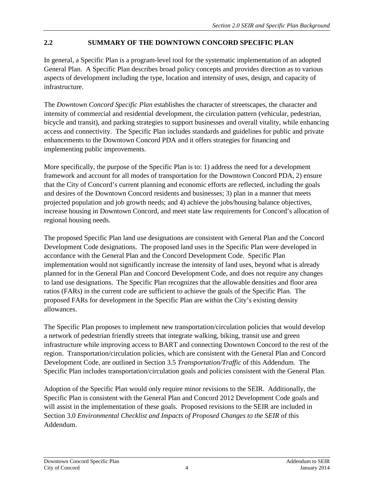## <span id="page-5-0"></span>**2.2 SUMMARY OF THE DOWNTOWN CONCORD SPECIFIC PLAN**

In general, a Specific Plan is a program-level tool for the systematic implementation of an adopted General Plan. A Specific Plan describes broad policy concepts and provides direction as to various aspects of development including the type, location and intensity of uses, design, and capacity of infrastructure.

The *Downtown Concord Specific Plan* establishes the character of streetscapes, the character and intensity of commercial and residential development, the circulation pattern (vehicular, pedestrian, bicycle and transit), and parking strategies to support businesses and overall vitality, while enhancing access and connectivity. The Specific Plan includes standards and guidelines for public and private enhancements to the Downtown Concord PDA and it offers strategies for financing and implementing public improvements.

More specifically, the purpose of the Specific Plan is to: 1) address the need for a development framework and account for all modes of transportation for the Downtown Concord PDA, 2) ensure that the City of Concord's current planning and economic efforts are reflected, including the goals and desires of the Downtown Concord residents and businesses; 3) plan in a manner that meets projected population and job growth needs; and 4) achieve the jobs/housing balance objectives, increase housing in Downtown Concord, and meet state law requirements for Concord's allocation of regional housing needs.

The proposed Specific Plan land use designations are consistent with General Plan and the Concord Development Code designations. The proposed land uses in the Specific Plan were developed in accordance with the General Plan and the Concord Development Code. Specific Plan implementation would not significantly increase the intensity of land uses, beyond what is already planned for in the General Plan and Concord Development Code, and does not require any changes to land use designations. The Specific Plan recognizes that the allowable densities and floor area ratios (FARs) in the current code are sufficient to achieve the goals of the Specific Plan. The proposed FARs for development in the Specific Plan are within the City's existing density allowances.

The Specific Plan proposes to implement new transportation/circulation policies that would develop a network of pedestrian friendly streets that integrate walking, biking, transit use and green infrastructure while improving access to BART and connecting Downtown Concord to the rest of the region. Transportation/circulation policies, which are consistent with the General Plan and Concord Development Code, are outlined in Section 3.5 *Transportation/Traffic* of this Addendum. The Specific Plan includes transportation/circulation goals and policies consistent with the General Plan.

Adoption of the Specific Plan would only require minor revisions to the SEIR. Additionally, the Specific Plan is consistent with the General Plan and Concord 2012 Development Code goals and will assist in the implementation of these goals. Proposed revisions to the SEIR are included in Section 3.0 *Environmental Checklist and Impacts of Proposed Changes to the SEIR* of this Addendum.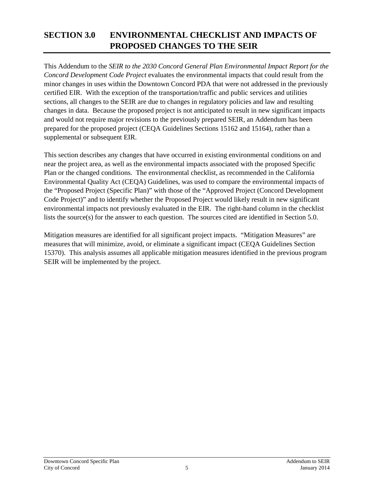# <span id="page-6-0"></span>**SECTION 3.0 ENVIRONMENTAL CHECKLIST AND IMPACTS OF PROPOSED CHANGES TO THE SEIR**

This Addendum to the *SEIR to the 2030 Concord General Plan Environmental Impact Report for the Concord Development Code Project* evaluates the environmental impacts that could result from the minor changes in uses within the Downtown Concord PDA that were not addressed in the previously certified EIR. With the exception of the transportation/traffic and public services and utilities sections, all changes to the SEIR are due to changes in regulatory policies and law and resulting changes in data. Because the proposed project is not anticipated to result in new significant impacts and would not require major revisions to the previously prepared SEIR, an Addendum has been prepared for the proposed project (CEQA Guidelines Sections 15162 and 15164), rather than a supplemental or subsequent EIR.

This section describes any changes that have occurred in existing environmental conditions on and near the project area, as well as the environmental impacts associated with the proposed Specific Plan or the changed conditions. The environmental checklist, as recommended in the California Environmental Quality Act (CEQA) Guidelines, was used to compare the environmental impacts of the "Proposed Project (Specific Plan)" with those of the "Approved Project (Concord Development Code Project)" and to identify whether the Proposed Project would likely result in new significant environmental impacts not previously evaluated in the EIR. The right-hand column in the checklist lists the source(s) for the answer to each question. The sources cited are identified in Section 5.0.

Mitigation measures are identified for all significant project impacts. "Mitigation Measures" are measures that will minimize, avoid, or eliminate a significant impact (CEQA Guidelines Section 15370). This analysis assumes all applicable mitigation measures identified in the previous program SEIR will be implemented by the project.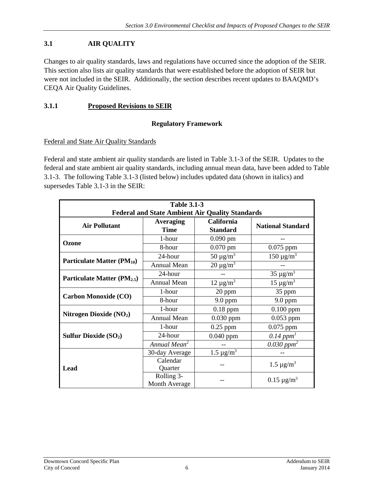## <span id="page-7-0"></span>**3.1 AIR QUALITY**

Changes to air quality standards, laws and regulations have occurred since the adoption of the SEIR. This section also lists air quality standards that were established before the adoption of SEIR but were not included in the SEIR. Additionally, the section describes recent updates to BAAQMD's CEQA Air Quality Guidelines.

#### **3.1.1 Proposed Revisions to SEIR**

#### <span id="page-7-1"></span>**Regulatory Framework**

#### Federal and State Air Quality Standards

Federal and state ambient air quality standards are listed in Table 3.1-3 of the SEIR. Updates to the federal and state ambient air quality standards, including annual mean data, have been added to Table 3.1-3. The following Table 3.1-3 (listed below) includes updated data (shown in italics) and supersedes Table 3.1-3 in the SEIR:

| <b>Table 3.1-3</b>                      |                          |                                                        |                                    |  |  |  |  |  |
|-----------------------------------------|--------------------------|--------------------------------------------------------|------------------------------------|--|--|--|--|--|
|                                         |                          | <b>Federal and State Ambient Air Quality Standards</b> |                                    |  |  |  |  |  |
| <b>Air Pollutant</b>                    | Averaging                | California                                             | <b>National Standard</b>           |  |  |  |  |  |
|                                         | <b>Time</b>              | <b>Standard</b>                                        |                                    |  |  |  |  |  |
| Ozone                                   | 1-hour                   | $0.090$ pm                                             |                                    |  |  |  |  |  |
|                                         | 8-hour                   | $0.070$ pm                                             | $0.075$ ppm                        |  |  |  |  |  |
|                                         | 24-hour                  | $50 \mu g/m^3$                                         | $\overline{150}$ µg/m <sup>3</sup> |  |  |  |  |  |
| Particulate Matter (PM <sub>10</sub> )  | <b>Annual Mean</b>       | $20 \mu g/m^3$                                         |                                    |  |  |  |  |  |
|                                         | 24-hour                  |                                                        | $35 \mu g/m^3$                     |  |  |  |  |  |
| Particulate Matter (PM <sub>2.5</sub> ) | <b>Annual Mean</b>       | $12 \mu g/m^3$                                         | $15 \mu g/m^3$                     |  |  |  |  |  |
|                                         | 1-hour                   | 20 ppm                                                 | 35 ppm                             |  |  |  |  |  |
| <b>Carbon Monoxide (CO)</b>             | 8-hour                   | $9.0$ ppm                                              |                                    |  |  |  |  |  |
|                                         | 1-hour                   | $0.18$ ppm                                             | $0.100$ ppm                        |  |  |  |  |  |
| Nitrogen Dioxide (NO2)                  | <b>Annual Mean</b>       | $0.030$ ppm                                            | $0.053$ ppm                        |  |  |  |  |  |
|                                         | 1-hour                   | $0.25$ ppm                                             | $0.075$ ppm                        |  |  |  |  |  |
| <b>Sulfur Dioxide (SO2)</b>             | 24-hour                  | 0.040 ppm                                              | $0.14$ ppm <sup>1</sup>            |  |  |  |  |  |
|                                         | Annual Mean <sup>2</sup> |                                                        | $0.030$ ppm <sup>2</sup>           |  |  |  |  |  |
|                                         | 30-day Average           | $1.5 \,\mu g/m^3$                                      |                                    |  |  |  |  |  |
|                                         | Calendar                 |                                                        | $1.5 \,\mu g/m^3$                  |  |  |  |  |  |
| Lead                                    | Quarter                  |                                                        |                                    |  |  |  |  |  |
|                                         | Rolling 3-               |                                                        | $0.15 \mu g/m^3$                   |  |  |  |  |  |
|                                         | Month Average            |                                                        |                                    |  |  |  |  |  |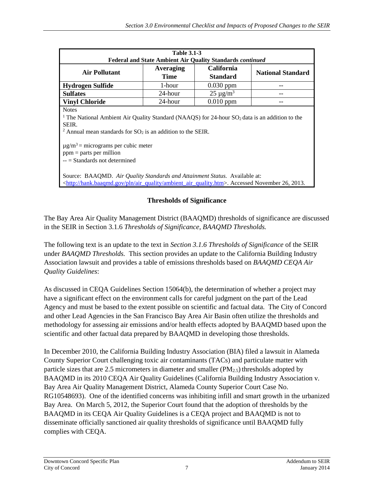| <b>Table 3.1-3</b>                                                                                                                                                                                                                                                                                                                       |                                                                                                                                                               |                |  |  |  |  |  |  |  |  |  |
|------------------------------------------------------------------------------------------------------------------------------------------------------------------------------------------------------------------------------------------------------------------------------------------------------------------------------------------|---------------------------------------------------------------------------------------------------------------------------------------------------------------|----------------|--|--|--|--|--|--|--|--|--|
|                                                                                                                                                                                                                                                                                                                                          | <b>Federal and State Ambient Air Quality Standards continued</b><br><b>California</b><br><b>Averaging</b><br><b>Air Pollutant</b><br><b>National Standard</b> |                |  |  |  |  |  |  |  |  |  |
|                                                                                                                                                                                                                                                                                                                                          | <b>Time</b>                                                                                                                                                   | Standard       |  |  |  |  |  |  |  |  |  |
| <b>Hydrogen Sulfide</b>                                                                                                                                                                                                                                                                                                                  | 1-hour                                                                                                                                                        | $0.030$ ppm    |  |  |  |  |  |  |  |  |  |
| <b>Sulfates</b>                                                                                                                                                                                                                                                                                                                          | 24-hour                                                                                                                                                       | $25 \mu g/m^3$ |  |  |  |  |  |  |  |  |  |
| <b>Vinyl Chloride</b><br>24-hour<br>$0.010$ ppm                                                                                                                                                                                                                                                                                          |                                                                                                                                                               |                |  |  |  |  |  |  |  |  |  |
| <b>Notes</b><br><sup>1</sup> The National Ambient Air Quality Standard (NAAQS) for 24-hour $SO_2$ data is an addition to the<br>SEIR.<br><sup>2</sup> Annual mean standards for $SO_2$ is an addition to the SEIR.<br>$\mu$ g/m <sup>3</sup> = micrograms per cubic meter<br>$ppm =$ parts per million<br>$-$ = Standards not determined |                                                                                                                                                               |                |  |  |  |  |  |  |  |  |  |
| Source: BAAQMD. Air Quality Standards and Attainment Status. Available at:<br>.http://hank.baaqmd.gov/pln/air_quality/ambient_air_quality.htm>. Accessed November 26, 2013.                                                                                                                                                              |                                                                                                                                                               |                |  |  |  |  |  |  |  |  |  |

#### **Thresholds of Significance**

The Bay Area Air Quality Management District (BAAQMD) thresholds of significance are discussed in the SEIR in Section 3.1.6 *Thresholds of Significance, BAAQMD Thresholds.*

The following text is an update to the text in *Section 3.1.6 Thresholds of Significance* of the SEIR under *BAAQMD Thresholds.* This section provides an update to the California Building Industry Association lawsuit and provides a table of emissions thresholds based on *BAAQMD CEQA Air Quality Guidelines*:

As discussed in CEQA Guidelines Section 15064(b), the determination of whether a project may have a significant effect on the environment calls for careful judgment on the part of the Lead Agency and must be based to the extent possible on scientific and factual data. The City of Concord and other Lead Agencies in the San Francisco Bay Area Air Basin often utilize the thresholds and methodology for assessing air emissions and/or health effects adopted by BAAQMD based upon the scientific and other factual data prepared by BAAQMD in developing those thresholds.

In December 2010, the California Building Industry Association (BIA) filed a lawsuit in Alameda County Superior Court challenging toxic air contaminants (TACs) and particulate matter with particle sizes that are 2.5 micrometers in diameter and smaller  $(PM_{2.5})$  thresholds adopted by BAAQMD in its 2010 CEQA Air Quality Guidelines (California Building Industry Association v. Bay Area Air Quality Management District, Alameda County Superior Court Case No. RG10548693). One of the identified concerns was inhibiting infill and smart growth in the urbanized Bay Area. On March 5, 2012, the Superior Court found that the adoption of thresholds by the BAAQMD in its CEQA Air Quality Guidelines is a CEQA project and BAAQMD is not to disseminate officially sanctioned air quality thresholds of significance until BAAQMD fully complies with CEQA.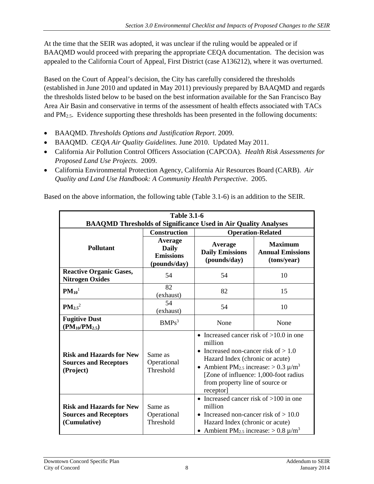At the time that the SEIR was adopted, it was unclear if the ruling would be appealed or if BAAQMD would proceed with preparing the appropriate CEQA documentation. The decision was appealed to the California Court of Appeal, First District (case A136212), where it was overturned.

Based on the Court of Appeal's decision, the City has carefully considered the thresholds (established in June 2010 and updated in May 2011) previously prepared by BAAQMD and regards the thresholds listed below to be based on the best information available for the San Francisco Bay Area Air Basin and conservative in terms of the assessment of health effects associated with TACs and  $PM_{2.5}$ . Evidence supporting these thresholds has been presented in the following documents:

- BAAQMD. *Thresholds Options and Justification Report*. 2009.
- BAAQMD. *CEQA Air Quality Guidelines.* June 2010. Updated May 2011.
- California Air Pollution Control Officers Association (CAPCOA). *Health Risk Assessments for Proposed Land Use Projects*. 2009.
- California Environmental Protection Agency, California Air Resources Board (CARB). *Air Quality and Land Use Handbook: A Community Health Perspective*. 2005.

Based on the above information, the following table (Table 3.1-6) is an addition to the SEIR.

<span id="page-9-0"></span>

|                                                                                 | <b>Table 3.1-6</b>                                   | <b>BAAQMD Thresholds of Significance Used in Air Quality Analyses</b>                                                                                                                                                                    |                                                          |  |
|---------------------------------------------------------------------------------|------------------------------------------------------|------------------------------------------------------------------------------------------------------------------------------------------------------------------------------------------------------------------------------------------|----------------------------------------------------------|--|
|                                                                                 | <b>Construction</b>                                  |                                                                                                                                                                                                                                          | <b>Operation-Related</b>                                 |  |
| <b>Pollutant</b>                                                                | Average<br>Daily<br><b>Emissions</b><br>(pounds/day) | Average<br><b>Daily Emissions</b><br>(pounds/day)                                                                                                                                                                                        | <b>Maximum</b><br><b>Annual Emissions</b><br>(tons/year) |  |
| <b>Reactive Organic Gases,</b><br><b>Nitrogen Oxides</b>                        | 54                                                   | 54                                                                                                                                                                                                                                       | 10                                                       |  |
| $PM_{10}$ <sup>1</sup>                                                          | 82<br>(exhaust)                                      | 82                                                                                                                                                                                                                                       | 15                                                       |  |
| $PM_{2.5}^2$                                                                    | 54<br>(exhaust)                                      | 54                                                                                                                                                                                                                                       | 10                                                       |  |
| <b>Fugitive Dust</b><br>$(PM_{10}/PM_{2.5})$                                    | BMPs <sup>3</sup>                                    | None                                                                                                                                                                                                                                     | None                                                     |  |
| <b>Risk and Hazards for New</b><br><b>Sources and Receptors</b><br>(Project)    | Same as<br>Operational<br>Threshold                  | • Increased cancer risk of $>10.0$ in one<br>million<br>Increased non-cancer risk of $> 1.0$<br>Hazard Index (chronic or acute)<br>• Ambient PM <sub>2.5</sub> increase: $> 0.3 \mu/m^3$<br>from property line of source or<br>receptor] | [Zone of influence: 1,000-foot radius                    |  |
| <b>Risk and Hazards for New</b><br><b>Sources and Receptors</b><br>(Cumulative) | Same as<br>Operational<br>Threshold                  | • Increased cancer risk of $>100$ in one<br>million<br>• Increased non-cancer risk of $> 10.0$<br>Hazard Index (chronic or acute)<br>• Ambient PM <sub>2.5</sub> increase: $> 0.8 \mu/m^3$                                               |                                                          |  |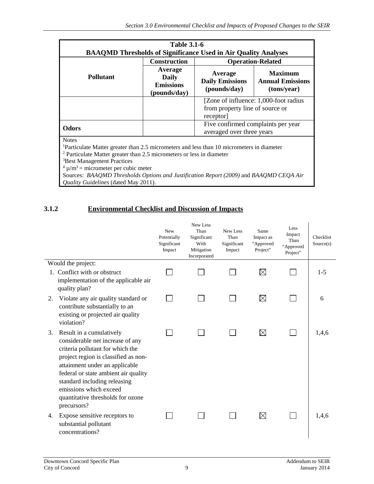|                                                                                                                                                                                                                                                                                                                                                                                                                          | <b>Table 3.1-6</b>                                          |                                                                                       |                                                          |  |  |  |  |  |
|--------------------------------------------------------------------------------------------------------------------------------------------------------------------------------------------------------------------------------------------------------------------------------------------------------------------------------------------------------------------------------------------------------------------------|-------------------------------------------------------------|---------------------------------------------------------------------------------------|----------------------------------------------------------|--|--|--|--|--|
| <b>BAAQMD Thresholds of Significance Used in Air Quality Analyses</b>                                                                                                                                                                                                                                                                                                                                                    |                                                             |                                                                                       |                                                          |  |  |  |  |  |
|                                                                                                                                                                                                                                                                                                                                                                                                                          | <b>Construction</b><br><b>Operation-Related</b>             |                                                                                       |                                                          |  |  |  |  |  |
| <b>Pollutant</b>                                                                                                                                                                                                                                                                                                                                                                                                         | Average<br><b>Daily</b><br><b>Emissions</b><br>(pounds/day) | Average<br><b>Daily Emissions</b><br>(pounds/day)                                     | <b>Maximum</b><br><b>Annual Emissions</b><br>(tons/year) |  |  |  |  |  |
|                                                                                                                                                                                                                                                                                                                                                                                                                          |                                                             | [Zone of influence: 1,000-foot radius]<br>from property line of source or<br>receptor |                                                          |  |  |  |  |  |
| <b>Odors</b>                                                                                                                                                                                                                                                                                                                                                                                                             |                                                             | Five confirmed complaints per year<br>averaged over three years                       |                                                          |  |  |  |  |  |
| <b>Notes</b><br><sup>1</sup> Particulate Matter greater than 2.5 micrometers and less than 10 micrometers in diameter<br>$2$ Particulate Matter greater than 2.5 micrometers or less in diameter<br><sup>3</sup> Best Management Practices<br>$4 \mu/m^3$ = micrometer per cubic meter<br>Sources: BAAQMD Thresholds Options and Justification Report (2009) and BAAQMD CEQA Air<br>Quality Guidelines (dated May 2011). |                                                             |                                                                                       |                                                          |  |  |  |  |  |

#### **3.1.2 Environmental Checklist and Discussion of Impacts**

|                                                                                                                                                                                                                                                                                                                                        | New<br>Potentially<br>Significant<br>Impact | New Less<br>Than<br>Significant<br>With<br>Mitigation<br>Incorporated | New Less<br>Than<br>Significant<br>Impact | Same<br>Impact as<br>"Approved<br>Project" | Less<br>Impact<br>Than<br>"Approved<br>Project" | Checklist<br>Source(s) |
|----------------------------------------------------------------------------------------------------------------------------------------------------------------------------------------------------------------------------------------------------------------------------------------------------------------------------------------|---------------------------------------------|-----------------------------------------------------------------------|-------------------------------------------|--------------------------------------------|-------------------------------------------------|------------------------|
| Would the project:                                                                                                                                                                                                                                                                                                                     |                                             |                                                                       |                                           |                                            |                                                 |                        |
| 1. Conflict with or obstruct<br>implementation of the applicable air<br>quality plan?                                                                                                                                                                                                                                                  |                                             |                                                                       |                                           | $\boxtimes$                                | $\sim$                                          | $1-5$                  |
| Violate any air quality standard or<br>2.<br>contribute substantially to an<br>existing or projected air quality<br>violation?                                                                                                                                                                                                         |                                             |                                                                       |                                           | $\boxtimes$                                | $\mathbf{I}$                                    | 6                      |
| Result in a cumulatively<br>3.<br>considerable net increase of any<br>criteria pollutant for which the<br>project region is classified as non-<br>attainment under an applicable<br>federal or state ambient air quality<br>standard including releasing<br>emissions which exceed<br>quantitative thresholds for ozone<br>precursors? |                                             |                                                                       |                                           | $\boxtimes$                                | $\mathbf{I}$                                    | 1,4,6                  |
| Expose sensitive receptors to<br>4.<br>substantial pollutant<br>concentrations?                                                                                                                                                                                                                                                        |                                             |                                                                       |                                           | $\boxtimes$                                | $\mathbf{I}$                                    | 1,4,6                  |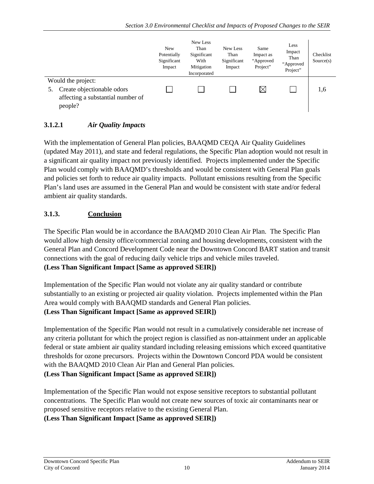|                                                                                                  | <b>New</b><br>Potentially<br>Significant<br>Impact | New Less<br>Than<br>Significant<br>With<br>Mitigation<br>Incorporated | New Less<br>Than<br>Significant<br>Impact | Same<br>Impact as<br>"Approved<br>Project" | Less<br>Impact<br>Than<br>"Approved<br>Project" | Checklist<br>Source(s) |
|--------------------------------------------------------------------------------------------------|----------------------------------------------------|-----------------------------------------------------------------------|-------------------------------------------|--------------------------------------------|-------------------------------------------------|------------------------|
| Would the project:<br>Create objectionable odors<br>affecting a substantial number of<br>people? |                                                    |                                                                       |                                           | $\times$                                   |                                                 | 1.6                    |

#### **3.1.2.1** *Air Quality Impacts*

With the implementation of General Plan policies, BAAQMD CEQA Air Quality Guidelines (updated May 2011), and state and federal regulations, the Specific Plan adoption would not result in a significant air quality impact not previously identified. Projects implemented under the Specific Plan would comply with BAAQMD's thresholds and would be consistent with General Plan goals and policies set forth to reduce air quality impacts. Pollutant emissions resulting from the Specific Plan's land uses are assumed in the General Plan and would be consistent with state and/or federal ambient air quality standards.

#### **3.1.3. Conclusion**

The Specific Plan would be in accordance the BAAQMD 2010 Clean Air Plan. The Specific Plan would allow high density office/commercial zoning and housing developments, consistent with the General Plan and Concord Development Code near the Downtown Concord BART station and transit connections with the goal of reducing daily vehicle trips and vehicle miles traveled. **(Less Than Significant Impact [Same as approved SEIR])**

Implementation of the Specific Plan would not violate any air quality standard or contribute substantially to an existing or projected air quality violation. Projects implemented within the Plan Area would comply with BAAQMD standards and General Plan policies.

#### **(Less Than Significant Impact [Same as approved SEIR])**

Implementation of the Specific Plan would not result in a cumulatively considerable net increase of any criteria pollutant for which the project region is classified as non-attainment under an applicable federal or state ambient air quality standard including releasing emissions which exceed quantitative thresholds for ozone precursors. Projects within the Downtown Concord PDA would be consistent with the BAAQMD 2010 Clean Air Plan and General Plan policies.

**(Less Than Significant Impact [Same as approved SEIR])**

Implementation of the Specific Plan would not expose sensitive receptors to substantial pollutant concentrations. The Specific Plan would not create new sources of toxic air contaminants near or proposed sensitive receptors relative to the existing General Plan.

**(Less Than Significant Impact [Same as approved SEIR])**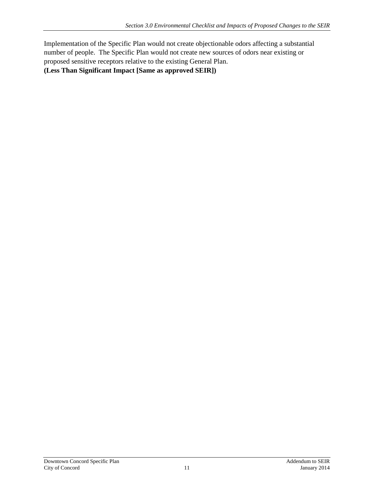Implementation of the Specific Plan would not create objectionable odors affecting a substantial number of people. The Specific Plan would not create new sources of odors near existing or proposed sensitive receptors relative to the existing General Plan. **(Less Than Significant Impact [Same as approved SEIR])**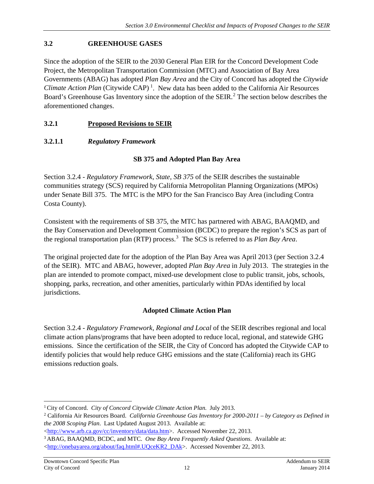#### <span id="page-13-0"></span>**3.2 GREENHOUSE GASES**

Since the adoption of the SEIR to the 2030 General Plan EIR for the Concord Development Code Project, the Metropolitan Transportation Commission (MTC) and Association of Bay Area Governments (ABAG) has adopted *Plan Bay Area* and the City of Concord has adopted the *Citywide*  Climate Action Plan (Citywide CAP)<sup>[1](#page-13-1)</sup>. New data has been added to the California Air Resources Board's Greenhouse Gas Inventory since the adoption of the SEIR.<sup>[2](#page-13-2)</sup> The section below describes the aforementioned changes.

#### **3.2.1 Proposed Revisions to SEIR**

#### **3.2.1.1** *Regulatory Framework*

#### **SB 375 and Adopted Plan Bay Area**

Section 3.2.4 - *Regulatory Framework, State, SB 375* of the SEIR describes the sustainable communities strategy (SCS) required by California Metropolitan Planning Organizations (MPOs) under Senate Bill 375. The MTC is the MPO for the San Francisco Bay Area (including Contra Costa County).

Consistent with the requirements of SB 375, the MTC has partnered with ABAG, BAAQMD, and the Bay Conservation and Development Commission (BCDC) to prepare the region's SCS as part of the regional transportation plan (RTP) process. [3](#page-13-3) The SCS is referred to as *Plan Bay Area*.

The original projected date for the adoption of the Plan Bay Area was April 2013 (per Section 3.2.4 of the SEIR). MTC and ABAG, however, adopted *Plan Bay Area* in July 2013. The strategies in the plan are intended to promote compact, mixed-use development close to public transit, jobs, schools, shopping, parks, recreation, and other amenities, particularly within PDAs identified by local jurisdictions.

#### **Adopted Climate Action Plan**

Section 3.2.4 - *Regulatory Framework, Regional and Local* of the SEIR describes regional and local climate action plans/programs that have been adopted to reduce local, regional, and statewide GHG emissions. Since the certification of the SEIR, the City of Concord has adopted the Citywide CAP to identify policies that would help reduce GHG emissions and the state (California) reach its GHG emissions reduction goals.

 $\overline{a}$ 

<span id="page-13-2"></span><span id="page-13-1"></span><sup>&</sup>lt;sup>1</sup> City of Concord. *City of Concord Citywide Climate Action Plan.* July 2013.<br><sup>2</sup> California Air Resources Board. *California Greenhouse Gas Inventory for 2000-2011 – by Category as Defined in the 2008 Scoping Plan*. Last Updated August 2013. Available at:

<span id="page-13-3"></span>[<sup>&</sup>lt;http://www.arb.ca.gov/cc/inventory/data/data.htm>](http://www.arb.ca.gov/cc/inventory/data/data.htm). Accessed November 22, 2013. 3 ABAG, BAAQMD, BCDC, and MTC. *One Bay Area Frequently Asked Questions*. Available at: [<http://onebayarea.org/about/faq.html#.UQceKR2\\_DAk>](http://onebayarea.org/about/faq.html%23.UQceKR2_DAk). Accessed November 22, 2013.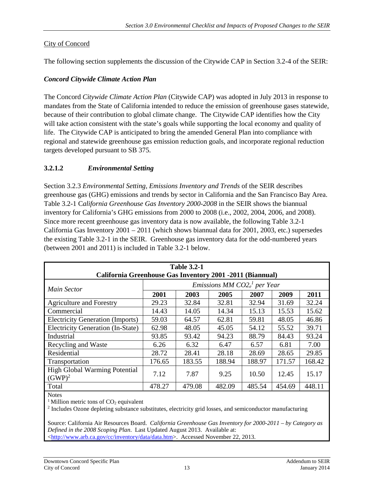#### City of Concord

The following section supplements the discussion of the Citywide CAP in Section 3.2-4 of the SEIR:

#### *Concord Citywide Climate Action Plan*

The Concord *Citywide Climate Action Plan* (Citywide CAP) was adopted in July 2013 in response to mandates from the State of California intended to reduce the emission of greenhouse gases statewide, because of their contribution to global climate change. The Citywide CAP identifies how the City will take action consistent with the state's goals while supporting the local economy and quality of life. The Citywide CAP is anticipated to bring the amended General Plan into compliance with regional and statewide greenhouse gas emission reduction goals, and incorporate regional reduction targets developed pursuant to SB 375.

#### **3.2.1.2** *Environmental Setting*

Section 3.2.3 *Environmental Setting, Emissions Inventory and Trends* of the SEIR describes greenhouse gas (GHG) emissions and trends by sector in California and the San Francisco Bay Area. Table 3.2-1 C*alifornia Greenhouse Gas Inventory 2000-2008* in the SEIR shows the biannual inventory for California's GHG emissions from 2000 to 2008 (i.e., 2002, 2004, 2006, and 2008). Since more recent greenhouse gas inventory data is now available, the following Table 3.2-1 California Gas Inventory  $2001 - 2011$  (which shows biannual data for  $2001$ ,  $2003$ , etc.) supersedes the existing Table 3.2-1 in the SEIR. Greenhouse gas inventory data for the odd-numbered years (between 2001 and 2011) is included in Table 3.2-1 below.

<span id="page-14-0"></span>

| <b>Table 3.2-1</b><br><b>California Greenhouse Gas Inventory 2001 -2011 (Biannual)</b> |        |        |                               |        |        |        |  |  |  |  |
|----------------------------------------------------------------------------------------|--------|--------|-------------------------------|--------|--------|--------|--|--|--|--|
| <b>Main Sector</b>                                                                     |        |        | Emissions MM $CO2e1$ per Year |        |        |        |  |  |  |  |
|                                                                                        | 2001   | 2003   | 2005                          | 2007   | 2009   | 2011   |  |  |  |  |
| <b>Agriculture and Forestry</b>                                                        | 29.23  | 32.84  | 32.81                         | 32.94  | 31.69  | 32.24  |  |  |  |  |
| Commercial                                                                             | 14.43  | 14.05  | 14.34                         | 15.13  | 15.53  | 15.62  |  |  |  |  |
| <b>Electricity Generation (Imports)</b>                                                | 59.03  | 64.57  | 62.81                         | 59.81  | 48.05  | 46.86  |  |  |  |  |
| <b>Electricity Generation (In-State)</b>                                               | 62.98  | 48.05  | 45.05                         | 54.12  | 55.52  | 39.71  |  |  |  |  |
| Industrial                                                                             | 93.85  | 93.42  | 94.23                         | 88.79  | 84.43  | 93.24  |  |  |  |  |
| Recycling and Waste                                                                    | 6.26   | 6.32   | 6.47                          | 6.57   | 6.81   | 7.00   |  |  |  |  |
| Residential                                                                            | 28.72  | 28.41  | 28.18                         | 28.69  | 28.65  | 29.85  |  |  |  |  |
| Transportation                                                                         | 176.65 | 183.55 | 188.94                        | 188.97 | 171.57 | 168.42 |  |  |  |  |
| <b>High Global Warming Potential</b><br>$(GWP)^2$                                      | 7.12   | 7.87   | 9.25                          | 10.50  | 12.45  | 15.17  |  |  |  |  |
| Total                                                                                  | 478.27 | 479.08 | 482.09                        | 485.54 | 454.69 | 448.11 |  |  |  |  |

Notes

<sup>1</sup> Million metric tons of CO<sub>2</sub> equivalent<br><sup>2</sup> Includes Ozone depleting substance substitutes, electricity grid losses, and semiconductor manufacturing

Source: California Air Resources Board. *California Greenhouse Gas Inventory for 2000-2011 – by Category as Defined in the 2008 Scoping Plan*. Last Updated August 2013. Available at: [<http://www.arb.ca.gov/cc/inventory/data/data.htm>](http://www.arb.ca.gov/cc/inventory/data/data.htm). Accessed November 22, 2013.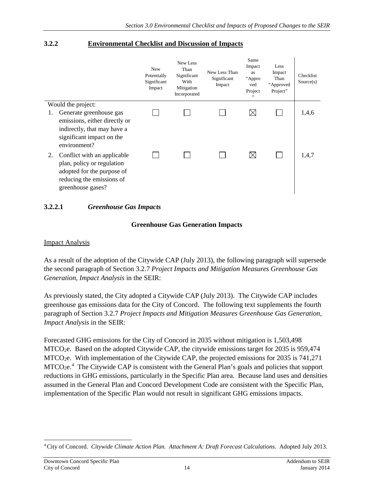#### **3.2.2 Environmental Checklist and Discussion of Impacts**

|    |                                                                                                                                           | <b>New</b><br>Potentially<br>Significant<br>Impact | New Less<br>Than<br>Significant<br>With<br>Mitigation<br>Incorporated | New Less Than<br>Significant<br>Impact | Same<br>Impact<br>as<br>"Appro<br>ved<br>Project<br>, , | Less<br>Impact<br>Than<br>"Approved<br>Project" | Checklist<br>Source(s) |
|----|-------------------------------------------------------------------------------------------------------------------------------------------|----------------------------------------------------|-----------------------------------------------------------------------|----------------------------------------|---------------------------------------------------------|-------------------------------------------------|------------------------|
|    | Would the project:                                                                                                                        |                                                    |                                                                       |                                        |                                                         |                                                 |                        |
|    | Generate greenhouse gas<br>emissions, either directly or                                                                                  |                                                    |                                                                       |                                        | $\boxtimes$                                             |                                                 | 1,4,6                  |
|    | indirectly, that may have a<br>significant impact on the<br>environment?                                                                  |                                                    |                                                                       |                                        |                                                         |                                                 |                        |
| 2. | Conflict with an applicable<br>plan, policy or regulation<br>adopted for the purpose of<br>reducing the emissions of<br>greenhouse gases? |                                                    |                                                                       |                                        | $\boxtimes$                                             |                                                 | 1,4,7                  |

#### **3.2.2.1** *Greenhouse Gas Impacts*

#### **Greenhouse Gas Generation Impacts**

#### Impact Analysis

As a result of the adoption of the Citywide CAP (July 2013), the following paragraph will supersede the second paragraph of Section 3.2.7 *Project Impacts and Mitigation Measures Greenhouse Gas Generation, Impact Analysis* in the SEIR:

As previously stated, the City adopted a Citywide CAP (July 2013). The Citywide CAP includes greenhouse gas emissions data for the City of Concord. The following text supplements the fourth paragraph of Section 3.2.7 *Project Impacts and Mitigation Measures Greenhouse Gas Generation, Impact Analysis* in the SEIR:

Forecasted GHG emissions for the City of Concord in 2035 without mitigation is 1,503,498 MTCO2e. Based on the adopted Citywide CAP, the citywide emissions target for 2035 is 959,474 MTCO2e. With implementation of the Citywide CAP, the projected emissions for 2035 is 741,271 MTCO<sub>2</sub>e.<sup>[4](#page-15-0)</sup> The Citywide CAP is consistent with the General Plan's goals and policies that support reductions in GHG emissions, particularly in the Specific Plan area. Because land uses and densities assumed in the General Plan and Concord Development Code are consistent with the Specific Plan, implementation of the Specific Plan would not result in significant GHG emissions impacts.

<span id="page-15-0"></span><sup>4</sup> City of Concord. *Citywide Climate Action Plan. Attachment A: Draft Forecast Calculations*. Adopted July 2013.  $\overline{a}$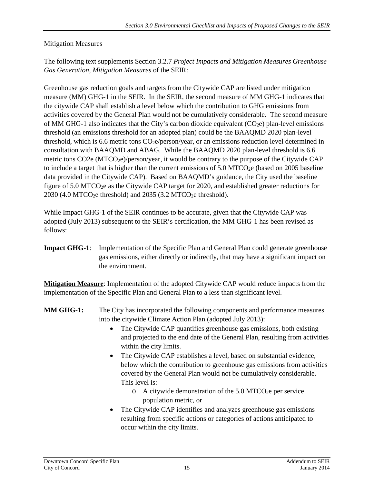#### **Mitigation Measures**

The following text supplements Section 3.2.7 *Project Impacts and Mitigation Measures Greenhouse Gas Generation, Mitigation Measures* of the SEIR:

Greenhouse gas reduction goals and targets from the Citywide CAP are listed under mitigation measure (MM) GHG-1 in the SEIR. In the SEIR, the second measure of MM GHG-1 indicates that the citywide CAP shall establish a level below which the contribution to GHG emissions from activities covered by the General Plan would not be cumulatively considerable. The second measure of MM GHG-1 also indicates that the City's carbon dioxide equivalent  $(CO_2e)$  plan-level emissions threshold (an emissions threshold for an adopted plan) could be the BAAQMD 2020 plan-level threshold, which is 6.6 metric tons  $CO<sub>2</sub>e/person/year$ , or an emissions reduction level determined in consultation with BAAQMD and ABAG. While the BAAQMD 2020 plan-level threshold is 6.6 metric tons CO2e (MTCO<sub>2</sub>e)/person/year, it would be contrary to the purpose of the Citywide CAP to include a target that is higher than the current emissions of  $5.0$  MTCO<sub>2</sub>e (based on 2005 baseline data provided in the Citywide CAP). Based on BAAQMD's guidance, the City used the baseline figure of 5.0 MTCO<sub>2</sub>e as the Citywide CAP target for 2020, and established greater reductions for  $2030$  (4.0 MTCO<sub>2</sub>e threshold) and  $2035$  (3.2 MTCO<sub>2</sub>e threshold).

While Impact GHG-1 of the SEIR continues to be accurate, given that the Citywide CAP was adopted (July 2013) subsequent to the SEIR's certification, the MM GHG-1 has been revised as follows:

**Impact GHG-1**: Implementation of the Specific Plan and General Plan could generate greenhouse gas emissions, either directly or indirectly, that may have a significant impact on the environment.

**Mitigation Measure**: Implementation of the adopted Citywide CAP would reduce impacts from the implementation of the Specific Plan and General Plan to a less than significant level.

- **MM GHG-1:** The City has incorporated the following components and performance measures into the citywide Climate Action Plan (adopted July 2013):
	- The Citywide CAP quantifies greenhouse gas emissions, both existing and projected to the end date of the General Plan, resulting from activities within the city limits.
	- The Citywide CAP establishes a level, based on substantial evidence, below which the contribution to greenhouse gas emissions from activities covered by the General Plan would not be cumulatively considerable. This level is:
		- $\circ$  A citywide demonstration of the 5.0 MTCO<sub>2</sub>e per service population metric, or
	- The Citywide CAP identifies and analyzes greenhouse gas emissions resulting from specific actions or categories of actions anticipated to occur within the city limits.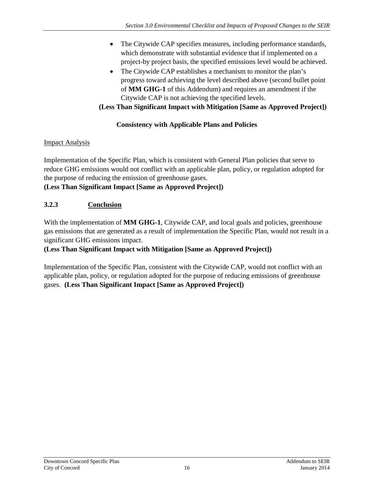- The Citywide CAP specifies measures, including performance standards, which demonstrate with substantial evidence that if implemented on a project-by project basis, the specified emissions level would be achieved.
- The Citywide CAP establishes a mechanism to monitor the plan's progress toward achieving the level described above (second bullet point of **MM GHG-1** of this Addendum) and requires an amendment if the Citywide CAP is not achieving the specified levels.

**(Less Than Significant Impact with Mitigation [Same as Approved Project])** 

## **Consistency with Applicable Plans and Policies**

#### **Impact Analysis**

Implementation of the Specific Plan, which is consistent with General Plan policies that serve to reduce GHG emissions would not conflict with an applicable plan, policy, or regulation adopted for the purpose of reducing the emission of greenhouse gases.

## **(Less Than Significant Impact [Same as Approved Project])**

# **3.2.3 Conclusion**

With the implementation of **MM GHG-1**, Citywide CAP, and local goals and policies, greenhouse gas emissions that are generated as a result of implementation the Specific Plan, would not result in a significant GHG emissions impact.

## **(Less Than Significant Impact with Mitigation [Same as Approved Project])**

Implementation of the Specific Plan, consistent with the Citywide CAP, would not conflict with an applicable plan, policy, or regulation adopted for the purpose of reducing emissions of greenhouse gases. **(Less Than Significant Impact [Same as Approved Project])**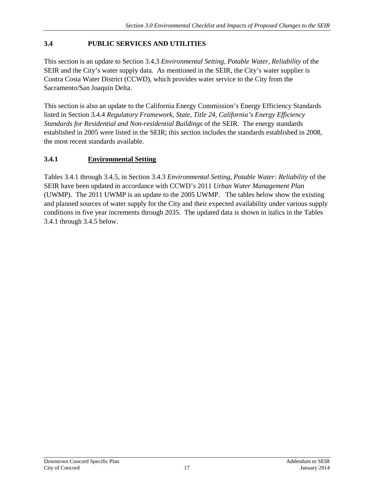#### <span id="page-18-0"></span>**3.4 PUBLIC SERVICES AND UTILITIES**

This section is an update to Section 3.4.3 *Environmental Setting, Potable Water, Reliability* of the SEIR and the City's water supply data. As mentioned in the SEIR, the City's water supplier is Contra Costa Water District (CCWD), which provides water service to the City from the Sacramento/San Joaquin Delta.

This section is also an update to the California Energy Commission's Energy Efficiency Standards listed in Section 3.4.4 *Regulatory Framework, State, Title 24, California's Energy Efficiency Standards for Residential and Non-residential Buildings* of the SEIR. The energy standards established in 2005 were listed in the SEIR; this section includes the standards established in 2008, the most recent standards available.

## **3.4.1 Environmental Setting**

Tables 3.4.1 through 3.4.5, in Section 3.4.3 *Environmental Setting, Potable Water: Reliability* of the SEIR have been updated in accordance with CCWD's 2011 *Urban Water Management Plan* (UWMP). The 2011 UWMP is an update to the 2005 UWMP. The tables below show the existing and planned sources of water supply for the City and their expected availability under various supply conditions in five year increments through 2035. The updated data is shown in italics in the Tables 3.4.1 through 3.4.5 below.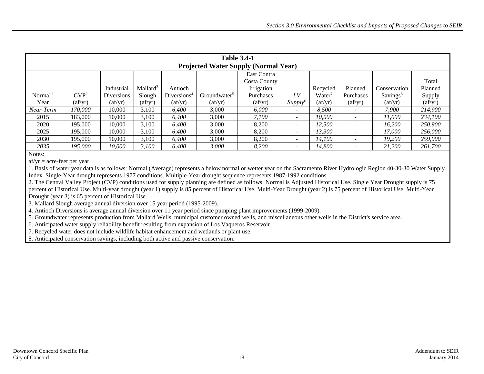|            | <b>Table 3.4-1</b><br><b>Projected Water Supply (Normal Year)</b> |                                |                                |                                |                                |                                |                          |                                |                                |                                |                                |  |  |
|------------|-------------------------------------------------------------------|--------------------------------|--------------------------------|--------------------------------|--------------------------------|--------------------------------|--------------------------|--------------------------------|--------------------------------|--------------------------------|--------------------------------|--|--|
|            | East Contra                                                       |                                |                                |                                |                                |                                |                          |                                |                                |                                |                                |  |  |
|            |                                                                   |                                |                                |                                |                                | Costa County                   |                          |                                |                                |                                | Total                          |  |  |
|            |                                                                   | Industrial                     | Mallard <sup>3</sup>           | Antioch                        |                                | Irrigation                     |                          | Recycled                       | Planned                        | Conservation                   | Planned                        |  |  |
| Normal $1$ | CVP <sup>2</sup>                                                  | Diversions                     | Slough                         | Diversions <sup>4</sup>        | Groundwater <sup>5</sup>       | Purchases                      | LV                       | Water <sup>7</sup>             | Purchases                      | Savings <sup>8</sup>           | Supply                         |  |  |
| Year       | $\left( \frac{af}{yr} \right)$                                    | $\left( \frac{af}{yr} \right)$ | $\left( \frac{af}{yr} \right)$ | $\left( \frac{af}{yr} \right)$ | $\left( \frac{af}{yr} \right)$ | $\left( \frac{af}{yr} \right)$ | Supply <sup>6</sup>      | $\left( \frac{af}{yr} \right)$ | $\left( \frac{af}{yr} \right)$ | $\left( \frac{af}{yr} \right)$ | $\left( \frac{af}{yr} \right)$ |  |  |
| Near-Term  | 170.000                                                           | 10.000                         | 3,100                          | 6.400                          | 3,000                          | 6,000                          | $\overline{\phantom{0}}$ | 8,500                          |                                | 7.900                          | 214,900                        |  |  |
| 2015       | 183,000                                                           | 10.000                         | 3.100                          | 6.400                          | 3,000                          | 7,100                          | $\overline{\phantom{0}}$ | 10.500                         | -                              | 11.000                         | 234,100                        |  |  |
| 2020       | 195,000                                                           | 10.000                         | 3,100                          | 6.400                          | 3,000                          | 8,200                          | $\overline{\phantom{a}}$ | 12,500                         | $\overline{\phantom{0}}$       | 16.200                         | 250,900                        |  |  |
| 2025       | 195,000                                                           | 10.000                         | 3.100                          | 6.400                          | 3,000                          | 8,200                          | ۰                        | 13,300                         |                                | 17.000                         | 256,000                        |  |  |
| 2030       | 195,000                                                           | 10.000                         | 3.100                          | 6.400                          | 3,000                          | 8,200                          | $\overline{\phantom{0}}$ | 14.100                         |                                | 19.200                         | 259,000                        |  |  |
| 2035       | 195.000                                                           | 10.000                         | 3,100                          | 6,400                          | 3,000                          | 8,200                          |                          | 14,800                         |                                | 21,200                         | 261,700                        |  |  |

 $af/yr = acre-freet per year$ 

<span id="page-19-0"></span>1. Basis of water year data is as follows: Normal (Average) represents a below normal or wetter year on the Sacramento River Hydrologic Region 40-30-30 Water Supply Index. Single-Year drought represents 1977 conditions. Multiple-Year drought sequence represents 1987-1992 conditions.

2. The Central Valley Project (CVP) conditions used for supply planning are defined as follows: Normal is Adjusted Historical Use. Single Year Drought supply is 75 percent of Historical Use. Multi-year drought (year 1) supply is 85 percent of Historical Use. Multi-Year Drought (year 2) is 75 percent of Historical Use. Multi-Year Drought (year 3) is 65 percent of Historical Use.

3. Mallard Slough average annual diversion over 15 year period (1995-2009).

4. Antioch Diversions is average annual diversion over 11 year period since pumping plant improvements (1999-2009).

5. Groundwater represents production from Mallard Wells, municipal customer owned wells, and miscellaneous other wells in the District's service area.

6. Anticipated water supply reliability benefit resulting from expansion of Los Vaqueros Reservoir.

7. Recycled water does not include wildlife habitat enhancement and wetlands or plant use.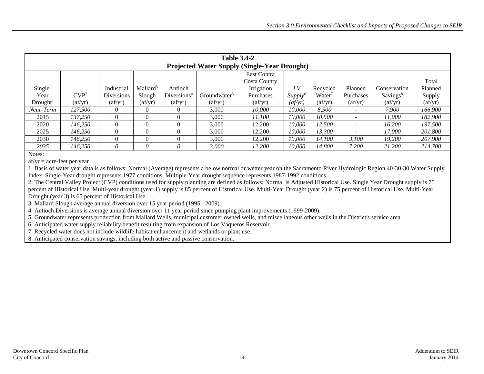|                      | <b>Table 3.4-2</b><br><b>Projected Water Supply (Single-Year Drought)</b> |                                |                                |                               |                                |                                |                     |          |                                |                                |                                |  |  |
|----------------------|---------------------------------------------------------------------------|--------------------------------|--------------------------------|-------------------------------|--------------------------------|--------------------------------|---------------------|----------|--------------------------------|--------------------------------|--------------------------------|--|--|
|                      |                                                                           |                                |                                |                               |                                | East Contra                    |                     |          |                                |                                |                                |  |  |
|                      |                                                                           |                                |                                |                               |                                | Costa County                   |                     |          |                                |                                | Total                          |  |  |
| Single-              |                                                                           | Industrial                     | Mallard <sup>3</sup>           | Antioch                       |                                | Irrigation                     | LV                  | Recycled | Planned                        | Conservation                   | Planned                        |  |  |
| Year                 | CVP <sup>2</sup>                                                          | <b>Diversions</b>              | Slough                         | Diversions <sup>4</sup>       | Groundwater <sup>5</sup>       | Purchases                      | Supply <sup>6</sup> | Water    | Purchases                      | Savings <sup>8</sup>           | Supply                         |  |  |
| Drought <sup>1</sup> | $\left( \frac{af}{yr} \right)$                                            | $\left( \frac{af}{yr} \right)$ | $\left( \frac{af}{yr} \right)$ | $\left( \text{af/yr} \right)$ | $\left( \frac{af}{yr} \right)$ | $\left( \frac{af}{yr} \right)$ | (af/yr)             | (af/yr)  | $\left( \frac{af}{yr} \right)$ | $\left( \frac{af}{yr} \right)$ | $\left( \frac{af}{yr} \right)$ |  |  |
| Near-Term            | 127.500                                                                   | $\Omega$                       | $\Omega$                       |                               | 3,000                          | 10.000                         | 10.000              | 8,500    |                                | 7.900                          | 166,900                        |  |  |
| 2015                 | 137.250                                                                   |                                | $\Omega$                       |                               | 3,000                          | 11.100                         | 10,000              | 10,500   |                                | 11.000                         | 182,900                        |  |  |
| 2020                 | 146.250                                                                   |                                |                                |                               | 3.000                          | 12.200                         | 10.000              | 12,500   | $\overline{\phantom{a}}$       | 16.200                         | 197.500                        |  |  |
| 2025                 | 146.250                                                                   |                                |                                |                               | 3.000                          | 12.200                         | 10.000              | 13,300   |                                | 17.000                         | 201.800                        |  |  |
| 2030                 | 146.250                                                                   |                                | $\Omega$                       |                               | 3,000                          | 12.200                         | 10,000              | 14,100   | 3.100                          | 19.200                         | 207,900                        |  |  |
| 2035                 | 146.250                                                                   | 0                              |                                |                               | 3.000                          | 12,200                         | 10.000              | 14,800   | 7.200                          | 21,200                         | 214,700                        |  |  |

 $af/yr = acre-free$  per year

<span id="page-20-0"></span>1. Basis of water year data is as follows: Normal (Average) represents a below normal or wetter year on the Sacramento River Hydrologic Region 40-30-30 Water Supply Index. Single-Year drought represents 1977 conditions. Multiple-Year drought sequence represents 1987-1992 conditions.

2. The Central Valley Project (CVP) conditions used for supply planning are defined as follows: Normal is Adjusted Historical Use. Single Year Drought supply is 75 percent of Historical Use. Multi-year drought (year 1) supply is 85 percent of Historical Use. Multi-Year Drought (year 2) is 75 percent of Historical Use. Multi-Year Drought (year 3) is 65 percent of Historical Use.

3. Mallard Slough average annual diversion over 15 year period (1995 - 2009).

4. Antioch Diversions is average annual diversion over 11 year period since pumping plant improvements (1999-2009).

5. Groundwater represents production from Mallard Wells, municipal customer owned wells, and miscellaneous other wells in the District's service area.

6. Anticipated water supply reliability benefit resulting from expansion of Los Vaqueros Reservoir.

7. Recycled water does not include wildlife habitat enhancement and wetlands or plant use.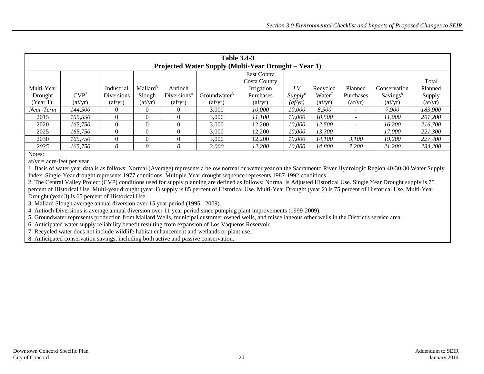| <b>Table 3.4-3</b><br>Projected Water Supply (Multi-Year Drought – Year 1) |                                |                                |                                |                               |                                |                                |                     |                    |                                |                                |                                |  |
|----------------------------------------------------------------------------|--------------------------------|--------------------------------|--------------------------------|-------------------------------|--------------------------------|--------------------------------|---------------------|--------------------|--------------------------------|--------------------------------|--------------------------------|--|
|                                                                            | East Contra                    |                                |                                |                               |                                |                                |                     |                    |                                |                                |                                |  |
|                                                                            | Total<br>Costa County          |                                |                                |                               |                                |                                |                     |                    |                                |                                |                                |  |
| Multi-Year                                                                 |                                | Industrial                     | Mallard <sup>3</sup>           | Antioch                       |                                | Irrigation                     | LV                  | Recycled           | Planned                        | Conservation                   | Planned                        |  |
| Drought                                                                    | CVP <sup>2</sup>               | <b>Diversions</b>              | Slough                         | Diversions <sup>4</sup>       | Groundwater <sup>5</sup>       | Purchases                      | Supply <sup>6</sup> | Water <sup>7</sup> | Purchases                      | Savings <sup>8</sup>           | Supply                         |  |
| $(Year 1)^1$                                                               | $\left( \frac{af}{yr} \right)$ | $\left( \frac{af}{yr} \right)$ | $\left( \frac{af}{yr} \right)$ | $\left( \text{af/yr} \right)$ | $\left( \frac{af}{yr} \right)$ | $\left( \frac{af}{yr} \right)$ | (af/yr)             | (af/yr)            | $\left( \frac{af}{yr} \right)$ | $\left( \frac{af}{yr} \right)$ | $\left( \frac{af}{yr} \right)$ |  |
| Near-Term                                                                  | 144,500                        | $\Omega$                       | $\Omega$                       |                               | 3,000                          | 10.000                         | 10.000              | 8,500              |                                | 7.900                          | 183,900                        |  |
| 2015                                                                       | 155,550                        |                                | $\Omega$                       |                               | 3,000                          | 11.100                         | 10,000              | 10,500             |                                | 11.000                         | 201,200                        |  |
| 2020                                                                       | 165,750                        |                                |                                |                               | 3.000                          | 12.200                         | 10.000              | 12,500             | $\overline{\phantom{a}}$       | 16.200                         | 216,700                        |  |
| 2025                                                                       | 165.750                        |                                | $\Omega$                       |                               | 3.000                          | 12.200                         | 10.000              | 13,300             |                                | 17.000                         | 221,300                        |  |
| 2030                                                                       | 165,750                        |                                | $\Omega$                       |                               | 3,000                          | 12.200                         | 10,000              | 14,100             | 3.100                          | 19.200                         | 227,400                        |  |
| 2035                                                                       | 165.750                        | 0                              |                                |                               | 3.000                          | 12,200                         | 10.000              | 14,800             | 7.200                          | 21,200                         | 234,200                        |  |

 $af/yr = acre-free$  per year

<span id="page-21-0"></span>1. Basis of water year data is as follows: Normal (Average) represents a below normal or wetter year on the Sacramento River Hydrologic Region 40-30-30 Water Supply Index. Single-Year drought represents 1977 conditions. Multiple-Year drought sequence represents 1987-1992 conditions.

2. The Central Valley Project (CVP) conditions used for supply planning are defined as follows: Normal is Adjusted Historical Use. Single Year Drought supply is 75 percent of Historical Use. Multi-year drought (year 1) supply is 85 percent of Historical Use. Multi-Year Drought (year 2) is 75 percent of Historical Use. Multi-Year Drought (year 3) is 65 percent of Historical Use.

3. Mallard Slough average annual diversion over 15 year period (1995 - 2009).

4. Antioch Diversions is average annual diversion over 11 year period since pumping plant improvements (1999-2009).

5. Groundwater represents production from Mallard Wells, municipal customer owned wells, and miscellaneous other wells in the District's service area.

6. Anticipated water supply reliability benefit resulting from expansion of Los Vaqueros Reservoir.

7. Recycled water does not include wildlife habitat enhancement and wetlands or plant use.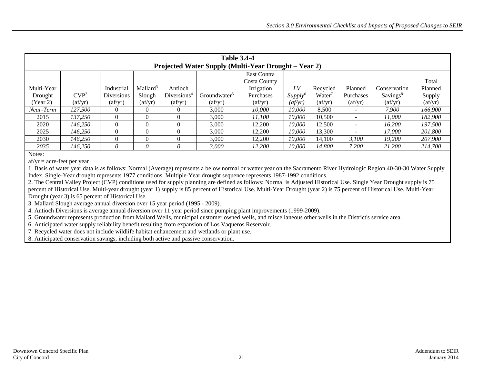| <b>Table 3.4-4</b><br>Projected Water Supply (Multi-Year Drought – Year 2) |                                |                                |                                |                                |                                |                                |                     |                                |                                |                                |                                |  |
|----------------------------------------------------------------------------|--------------------------------|--------------------------------|--------------------------------|--------------------------------|--------------------------------|--------------------------------|---------------------|--------------------------------|--------------------------------|--------------------------------|--------------------------------|--|
|                                                                            | East Contra                    |                                |                                |                                |                                |                                |                     |                                |                                |                                |                                |  |
| Costa County                                                               |                                |                                |                                |                                |                                |                                |                     |                                |                                | Total                          |                                |  |
| Multi-Year                                                                 |                                | Industrial                     | Mallard <sup>3</sup>           | Antioch                        |                                | Irrigation                     | LV                  | Recycled                       | Planned                        | Conservation                   | Planned                        |  |
| Drought                                                                    | CVP <sup>2</sup>               | Diversions                     | Slough                         | Diversions <sup>4</sup>        | Groundwater <sup>5</sup>       | Purchases                      | Supply <sup>6</sup> | Water <sup>7</sup>             | Purchases                      | Savings <sup>8</sup>           | Supply                         |  |
| $(Year 2)^{1}$                                                             | $\left( \frac{af}{yr} \right)$ | $\left( \frac{af}{yr} \right)$ | $\left( \frac{af}{yr} \right)$ | $\left( \frac{af}{yr} \right)$ | $\left( \frac{af}{yr} \right)$ | $\left( \frac{af}{yr} \right)$ | (af/yr)             | $\left( \frac{af}{yr} \right)$ | $\left( \frac{af}{yr} \right)$ | $\left( \frac{af}{yr} \right)$ | $\left( \frac{af}{yr} \right)$ |  |
| Near-Term                                                                  | 127.500                        | 0                              |                                |                                | 3,000                          | 10.000                         | 10.000              | 8,500                          |                                | 7.900                          | 166,900                        |  |
| 2015                                                                       | 137.250                        | $\theta$                       | $\theta$                       |                                | 3,000                          | 11.100                         | 10,000              | 10.500                         |                                | 11.000                         | 182,900                        |  |
| 2020                                                                       | 146.250                        | 0                              |                                |                                | 3.000                          | 12,200                         | 10.000              | 12,500                         | $\overline{\phantom{a}}$       | 16.200                         | 197.500                        |  |
| 2025                                                                       | 146.250                        | 0                              |                                |                                | 3.000                          | 12.200                         | 10.000              | 13,300                         |                                | 17.000                         | 201.800                        |  |
| 2030                                                                       | 146.250                        | 0                              | $\Omega$                       |                                | 3,000                          | 12.200                         | 10,000              | 14.100                         | 3.100                          | 19.200                         | 207,900                        |  |
| 2035                                                                       | 146.250                        | U                              | 0                              |                                | 3.000                          | 12,200                         | 10.000              | 14,800                         | 7.200                          | 21,200                         | 214,700                        |  |

 $af/yr = acre-free$  per year

<span id="page-22-0"></span>1. Basis of water year data is as follows: Normal (Average) represents a below normal or wetter year on the Sacramento River Hydrologic Region 40-30-30 Water Supply Index. Single-Year drought represents 1977 conditions. Multiple-Year drought sequence represents 1987-1992 conditions.

2. The Central Valley Project (CVP) conditions used for supply planning are defined as follows: Normal is Adjusted Historical Use. Single Year Drought supply is 75 percent of Historical Use. Multi-year drought (year 1) supply is 85 percent of Historical Use. Multi-Year Drought (year 2) is 75 percent of Historical Use. Multi-Year Drought (year 3) is 65 percent of Historical Use.

3. Mallard Slough average annual diversion over 15 year period (1995 - 2009).

4. Antioch Diversions is average annual diversion over 11 year period since pumping plant improvements (1999-2009).

5. Groundwater represents production from Mallard Wells, municipal customer owned wells, and miscellaneous other wells in the District's service area.

6. Anticipated water supply reliability benefit resulting from expansion of Los Vaqueros Reservoir.

7. Recycled water does not include wildlife habitat enhancement and wetlands or plant use.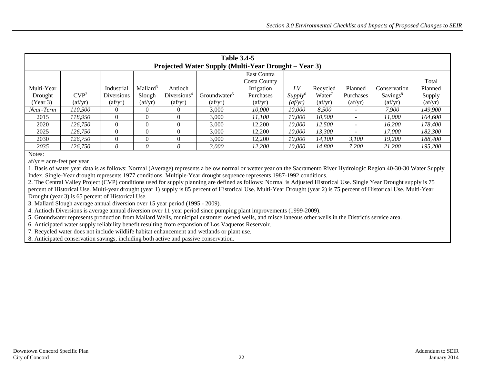| <b>Table 3.4-5</b><br>Projected Water Supply (Multi-Year Drought – Year 3) |                                |                                |                                |                                |                                |                                |                     |                                |                                |                                |                                |  |
|----------------------------------------------------------------------------|--------------------------------|--------------------------------|--------------------------------|--------------------------------|--------------------------------|--------------------------------|---------------------|--------------------------------|--------------------------------|--------------------------------|--------------------------------|--|
|                                                                            | East Contra                    |                                |                                |                                |                                |                                |                     |                                |                                |                                |                                |  |
|                                                                            |                                |                                |                                |                                |                                | Costa County                   |                     |                                |                                |                                | Total                          |  |
| Multi-Year                                                                 |                                | Industrial                     | Mallard <sup>3</sup>           | Antioch                        |                                | Irrigation                     | LV                  | Recycled                       | Planned                        | Conservation                   | Planned                        |  |
| Drought                                                                    | CVP <sup>2</sup>               | Diversions                     | Slough                         | Diversions <sup>4</sup>        | Groundwater <sup>5</sup>       | Purchases                      | Supply <sup>6</sup> | Water <sup>7</sup>             | Purchases                      | Savings <sup>8</sup>           | Supply                         |  |
| $(Year 3)^{1}$                                                             | $\left( \frac{af}{yr} \right)$ | $\left( \frac{af}{yr} \right)$ | $\left( \frac{af}{yr} \right)$ | $\left( \frac{af}{yr} \right)$ | $\left( \frac{af}{yr} \right)$ | $\left( \frac{af}{yr} \right)$ | (af/yr)             | $\left( \frac{af}{yr} \right)$ | $\left( \frac{af}{yr} \right)$ | $\left( \frac{af}{yr} \right)$ | $\left( \frac{af}{yr} \right)$ |  |
| Near-Term                                                                  | 110.500                        | 0                              |                                |                                | 3,000                          | 10.000                         | 10.000              | 8,500                          |                                | 7.900                          | 149,900                        |  |
| 2015                                                                       | 118.950                        | $\theta$                       | $\theta$                       |                                | 3,000                          | 11.100                         | 10,000              | 10,500                         |                                | 11.000                         | 164,600                        |  |
| 2020                                                                       | 126.750                        | 0                              |                                |                                | 3.000                          | 12,200                         | 10.000              | 12,500                         | $\overline{\phantom{a}}$       | 16.200                         | 178,400                        |  |
| 2025                                                                       | 126.750                        | 0                              |                                |                                | 3.000                          | 12.200                         | 10.000              | 13,300                         |                                | 17.000                         | 182,300                        |  |
| 2030                                                                       | 126.750                        | 0                              | $\Omega$                       |                                | 3,000                          | 12.200                         | 10,000              | 14.100                         | 3.100                          | 19.200                         | 188,400                        |  |
| 2035                                                                       | 126.750                        | U                              | 0                              |                                | 3.000                          | 12,200                         | 10.000              | 14,800                         | 7.200                          | 21,200                         | 195,200                        |  |

 $af/yr = acre-free$  per year

<span id="page-23-0"></span>1. Basis of water year data is as follows: Normal (Average) represents a below normal or wetter year on the Sacramento River Hydrologic Region 40-30-30 Water Supply Index. Single-Year drought represents 1977 conditions. Multiple-Year drought sequence represents 1987-1992 conditions.

2. The Central Valley Project (CVP) conditions used for supply planning are defined as follows: Normal is Adjusted Historical Use. Single Year Drought supply is 75 percent of Historical Use. Multi-year drought (year 1) supply is 85 percent of Historical Use. Multi-Year Drought (year 2) is 75 percent of Historical Use. Multi-Year Drought (year 3) is 65 percent of Historical Use.

3. Mallard Slough average annual diversion over 15 year period (1995 - 2009).

4. Antioch Diversions is average annual diversion over 11 year period since pumping plant improvements (1999-2009).

5. Groundwater represents production from Mallard Wells, municipal customer owned wells, and miscellaneous other wells in the District's service area.

6. Anticipated water supply reliability benefit resulting from expansion of Los Vaqueros Reservoir.

7. Recycled water does not include wildlife habitat enhancement and wetlands or plant use.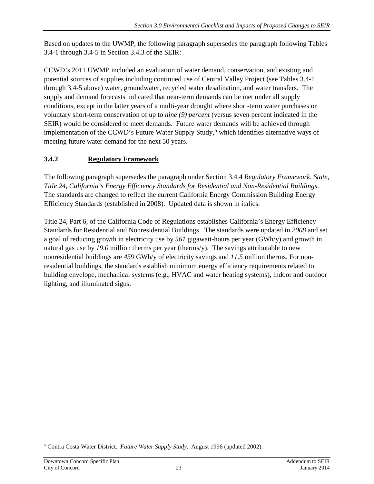Based on updates to the UWMP, the following paragraph supersedes the paragraph following Tables 3.4-1 through 3.4-5 in Section 3.4.3 of the SEIR:

CCWD's 2011 UWMP included an evaluation of water demand, conservation, and existing and potential sources of supplies including continued use of Central Valley Project (see Tables 3.4-1 through 3.4-5 above) water, groundwater, recycled water desalination, and water transfers. The supply and demand forecasts indicated that near-term demands can be met under all supply conditions, except in the latter years of a multi-year drought where short-term water purchases or voluntary short-term conservation of up to *nine (9) percent* (versus seven percent indicated in the SEIR) would be considered to meet demands. Future water demands will be achieved through implementation of the CCWD's Future Water Supply Study, [5](#page-24-0) which identifies alternative ways of meeting future water demand for the next 50 years.

# **3.4.2 Regulatory Framework**

The following paragraph supersedes the paragraph under Section 3.4.4 *Regulatory Framework, State, Title 24, California's Energy Efficiency Standards for Residential and Non-Residential Buildings*. The standards are changed to reflect the current California Energy Commission Building Energy Efficiency Standards (established in 2008). Updated data is shown in italics.

Title 24, Part 6, of the California Code of Regulations establishes California's Energy Efficiency Standards for Residential and Nonresidential Buildings. The standards were updated in *2008* and set a goal of reducing growth in electricity use by *561* gigawatt-hours per year (GWh/y) and growth in natural gas use by *19.0* million therms per year (therms/y). The savings attributable to new nonresidential buildings are *459* GWh/y of electricity savings and *11.5* million therms. For nonresidential buildings, the standards establish minimum energy efficiency requirements related to building envelope, mechanical systems (e.g., HVAC and water heating systems), indoor and outdoor lighting, and illuminated signs.

<span id="page-24-0"></span><sup>5</sup> Contra Costa Water District. *Future Water Supply Study*. August 1996 (updated 2002).  $\overline{a}$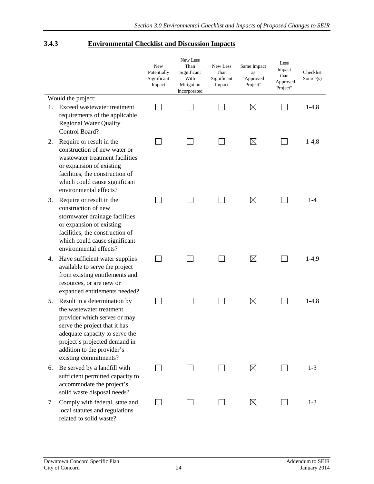#### **3.4.3 Environmental Checklist and Discussion Impacts**

|    |                                                                                                                                                                                                                                                     | New<br>Potentially<br>Significant<br>Impact | New Less<br>Than<br>Significant<br>With<br>Mitigation<br>Incorporated | New Less<br>Than<br>Significant<br>Impact | Same Impact<br>as<br>"Approved<br>Project" | Less<br>Impact<br>than<br>"Approved<br>Project" | Checklist<br>Source(s) |
|----|-----------------------------------------------------------------------------------------------------------------------------------------------------------------------------------------------------------------------------------------------------|---------------------------------------------|-----------------------------------------------------------------------|-------------------------------------------|--------------------------------------------|-------------------------------------------------|------------------------|
|    | Would the project:                                                                                                                                                                                                                                  |                                             |                                                                       |                                           |                                            |                                                 |                        |
| 1. | Exceed wastewater treatment<br>requirements of the applicable<br><b>Regional Water Quality</b><br>Control Board?                                                                                                                                    |                                             |                                                                       |                                           | $\boxtimes$                                |                                                 | $1-4,8$                |
| 2. | Require or result in the<br>construction of new water or<br>wastewater treatment facilities<br>or expansion of existing<br>facilities, the construction of<br>which could cause significant<br>environmental effects?                               |                                             |                                                                       |                                           | $\boxtimes$                                |                                                 | $1-4,8$                |
| 3. | Require or result in the<br>construction of new<br>stormwater drainage facilities<br>or expansion of existing<br>facilities, the construction of<br>which could cause significant<br>environmental effects?                                         |                                             |                                                                       |                                           | $\boxtimes$                                |                                                 | 1-4                    |
| 4. | Have sufficient water supplies<br>available to serve the project<br>from existing entitlements and<br>resources, or are new or<br>expanded entitlements needed?                                                                                     |                                             |                                                                       |                                           | $\boxtimes$                                |                                                 | $1-4,9$                |
| 5. | Result in a determination by<br>the wastewater treatment<br>provider which serves or may<br>serve the project that it has<br>adequate capacity to serve the<br>project's projected demand in<br>addition to the provider's<br>existing commitments? |                                             |                                                                       |                                           | $\boxtimes$                                |                                                 | $1-4,8$                |
| 6. | Be served by a landfill with<br>sufficient permitted capacity to<br>accommodate the project's<br>solid waste disposal needs?                                                                                                                        |                                             |                                                                       |                                           | $\boxtimes$                                |                                                 | $1-3$                  |
| 7. | Comply with federal, state and<br>local statutes and regulations<br>related to solid waste?                                                                                                                                                         |                                             |                                                                       |                                           | $\boxtimes$                                |                                                 | $1 - 3$                |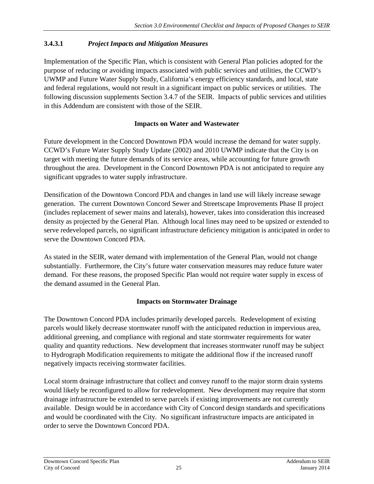# **3.4.3.1** *Project Impacts and Mitigation Measures*

Implementation of the Specific Plan, which is consistent with General Plan policies adopted for the purpose of reducing or avoiding impacts associated with public services and utilities, the CCWD's UWMP and Future Water Supply Study, California's energy efficiency standards, and local, state and federal regulations, would not result in a significant impact on public services or utilities. The following discussion supplements Section 3.4.7 of the SEIR. Impacts of public services and utilities in this Addendum are consistent with those of the SEIR.

## **Impacts on Water and Wastewater**

Future development in the Concord Downtown PDA would increase the demand for water supply. CCWD's Future Water Supply Study Update (2002) and 2010 UWMP indicate that the City is on target with meeting the future demands of its service areas, while accounting for future growth throughout the area. Development in the Concord Downtown PDA is not anticipated to require any significant upgrades to water supply infrastructure.

Densification of the Downtown Concord PDA and changes in land use will likely increase sewage generation. The current Downtown Concord Sewer and Streetscape Improvements Phase II project (includes replacement of sewer mains and laterals), however, takes into consideration this increased density as projected by the General Plan. Although local lines may need to be upsized or extended to serve redeveloped parcels, no significant infrastructure deficiency mitigation is anticipated in order to serve the Downtown Concord PDA.

As stated in the SEIR, water demand with implementation of the General Plan, would not change substantially. Furthermore, the City's future water conservation measures may reduce future water demand. For these reasons, the proposed Specific Plan would not require water supply in excess of the demand assumed in the General Plan.

## **Impacts on Stormwater Drainage**

The Downtown Concord PDA includes primarily developed parcels. Redevelopment of existing parcels would likely decrease stormwater runoff with the anticipated reduction in impervious area, additional greening, and compliance with regional and state stormwater requirements for water quality and quantity reductions. New development that increases stormwater runoff may be subject to Hydrograph Modification requirements to mitigate the additional flow if the increased runoff negatively impacts receiving stormwater facilities.

Local storm drainage infrastructure that collect and convey runoff to the major storm drain systems would likely be reconfigured to allow for redevelopment. New development may require that storm drainage infrastructure be extended to serve parcels if existing improvements are not currently available. Design would be in accordance with City of Concord design standards and specifications and would be coordinated with the City. No significant infrastructure impacts are anticipated in order to serve the Downtown Concord PDA.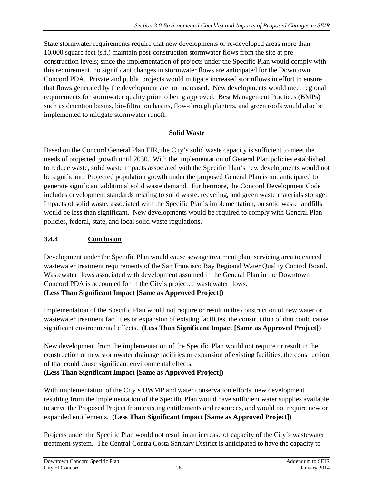State stormwater requirements require that new developments or re-developed areas more than 10,000 square feet (s.f.) maintain post-construction stormwater flows from the site at preconstruction levels; since the implementation of projects under the Specific Plan would comply with this requirement, no significant changes in stormwater flows are anticipated for the Downtown Concord PDA. Private and public projects would mitigate increased stormflows in effort to ensure that flows generated by the development are not increased. New developments would meet regional requirements for stormwater quality prior to being approved. Best Management Practices (BMPs) such as detention basins, bio-filtration basins, flow-through planters, and green roofs would also be implemented to mitigate stormwater runoff.

#### **Solid Waste**

Based on the Concord General Plan EIR, the City's solid waste capacity is sufficient to meet the needs of projected growth until 2030. With the implementation of General Plan policies established to reduce waste, solid waste impacts associated with the Specific Plan's new developments would not be significant. Projected population growth under the proposed General Plan is not anticipated to generate significant additional solid waste demand. Furthermore, the Concord Development Code includes development standards relating to solid waste, recycling, and green waste materials storage. Impacts of solid waste, associated with the Specific Plan's implementation, on solid waste landfills would be less than significant. New developments would be required to comply with General Plan policies, federal, state, and local solid waste regulations.

# **3.4.4 Conclusion**

Development under the Specific Plan would cause sewage treatment plant servicing area to exceed wastewater treatment requirements of the San Francisco Bay Regional Water Quality Control Board. Wastewater flows associated with development assumed in the General Plan in the Downtown Concord PDA is accounted for in the City's projected wastewater flows. **(Less Than Significant Impact [Same as Approved Project])** 

Implementation of the Specific Plan would not require or result in the construction of new water or wastewater treatment facilities or expansion of existing facilities, the construction of that could cause significant environmental effects. **(Less Than Significant Impact [Same as Approved Project])** 

New development from the implementation of the Specific Plan would not require or result in the construction of new stormwater drainage facilities or expansion of existing facilities, the construction of that could cause significant environmental effects.

## **(Less Than Significant Impact [Same as Approved Project])**

With implementation of the City's UWMP and water conservation efforts, new development resulting from the implementation of the Specific Plan would have sufficient water supplies available to serve the Proposed Project from existing entitlements and resources, and would not require new or expanded entitlements. **(Less Than Significant Impact [Same as Approved Project])** 

Projects under the Specific Plan would not result in an increase of capacity of the City's wastewater treatment system. The Central Contra Costa Sanitary District is anticipated to have the capacity to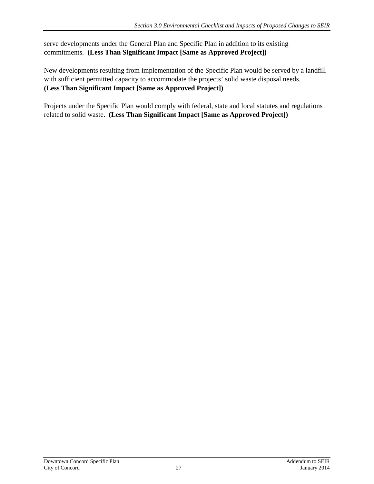serve developments under the General Plan and Specific Plan in addition to its existing commitments. **(Less Than Significant Impact [Same as Approved Project])**

New developments resulting from implementation of the Specific Plan would be served by a landfill with sufficient permitted capacity to accommodate the projects' solid waste disposal needs. **(Less Than Significant Impact [Same as Approved Project])**

Projects under the Specific Plan would comply with federal, state and local statutes and regulations related to solid waste. **(Less Than Significant Impact [Same as Approved Project])**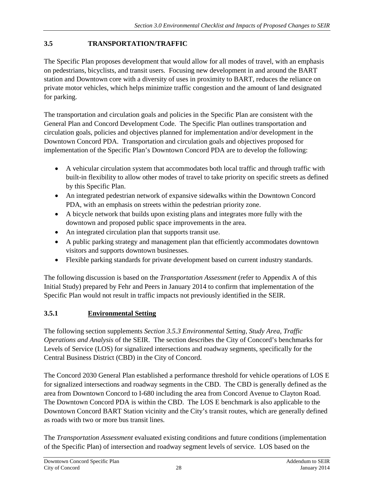#### <span id="page-29-0"></span>**3.5 TRANSPORTATION/TRAFFIC**

The Specific Plan proposes development that would allow for all modes of travel, with an emphasis on pedestrians, bicyclists, and transit users. Focusing new development in and around the BART station and Downtown core with a diversity of uses in proximity to BART, reduces the reliance on private motor vehicles, which helps minimize traffic congestion and the amount of land designated for parking.

The transportation and circulation goals and policies in the Specific Plan are consistent with the General Plan and Concord Development Code. The Specific Plan outlines transportation and circulation goals, policies and objectives planned for implementation and/or development in the Downtown Concord PDA. Transportation and circulation goals and objectives proposed for implementation of the Specific Plan's Downtown Concord PDA are to develop the following:

- A vehicular circulation system that accommodates both local traffic and through traffic with built-in flexibility to allow other modes of travel to take priority on specific streets as defined by this Specific Plan.
- An integrated pedestrian network of expansive sidewalks within the Downtown Concord PDA, with an emphasis on streets within the pedestrian priority zone.
- A bicycle network that builds upon existing plans and integrates more fully with the downtown and proposed public space improvements in the area.
- An integrated circulation plan that supports transit use.
- A public parking strategy and management plan that efficiently accommodates downtown visitors and supports downtown businesses.
- Flexible parking standards for private development based on current industry standards.

The following discussion is based on the *Transportation Assessment* (refer to Appendix A of this Initial Study) prepared by Fehr and Peers in January 2014 to confirm that implementation of the Specific Plan would not result in traffic impacts not previously identified in the SEIR.

## **3.5.1 Environmental Setting**

The following section supplements *Section 3.5.3 Environmental Setting, Study Area, Traffic Operations and Analysis* of the SEIR. The section describes the City of Concord's benchmarks for Levels of Service (LOS) for signalized intersections and roadway segments, specifically for the Central Business District (CBD) in the City of Concord.

The Concord 2030 General Plan established a performance threshold for vehicle operations of LOS E for signalized intersections and roadway segments in the CBD. The CBD is generally defined as the area from Downtown Concord to I-680 including the area from Concord Avenue to Clayton Road. The Downtown Concord PDA is within the CBD. The LOS E benchmark is also applicable to the Downtown Concord BART Station vicinity and the City's transit routes, which are generally defined as roads with two or more bus transit lines.

The *Transportation Assessment* evaluated existing conditions and future conditions (implementation of the Specific Plan) of intersection and roadway segment levels of service. LOS based on the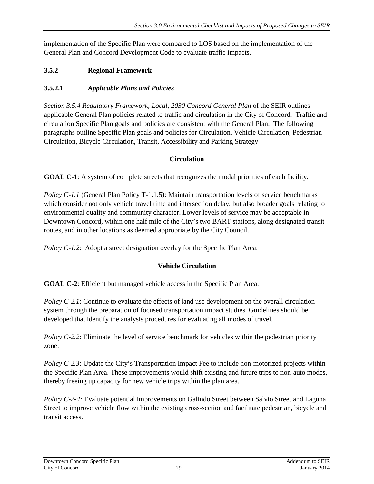implementation of the Specific Plan were compared to LOS based on the implementation of the General Plan and Concord Development Code to evaluate traffic impacts.

# **3.5.2 Regional Framework**

#### **3.5.2.1** *Applicable Plans and Policies*

*Section 3.5.4 Regulatory Framework, Local, 2030 Concord General Plan* of the SEIR outlines applicable General Plan policies related to traffic and circulation in the City of Concord. Traffic and circulation Specific Plan goals and policies are consistent with the General Plan. The following paragraphs outline Specific Plan goals and policies for Circulation, Vehicle Circulation, Pedestrian Circulation, Bicycle Circulation, Transit, Accessibility and Parking Strategy

#### **Circulation**

**GOAL C-1**: A system of complete streets that recognizes the modal priorities of each facility.

*Policy C-1.1* (General Plan Policy T-1.1.5): Maintain transportation levels of service benchmarks which consider not only vehicle travel time and intersection delay, but also broader goals relating to environmental quality and community character. Lower levels of service may be acceptable in Downtown Concord, within one half mile of the City's two BART stations, along designated transit routes, and in other locations as deemed appropriate by the City Council.

*Policy C-1.2*: Adopt a street designation overlay for the Specific Plan Area.

## **Vehicle Circulation**

**GOAL C-2**: Efficient but managed vehicle access in the Specific Plan Area.

*Policy C-2.1*: Continue to evaluate the effects of land use development on the overall circulation system through the preparation of focused transportation impact studies. Guidelines should be developed that identify the analysis procedures for evaluating all modes of travel.

*Policy C-2.2*: Eliminate the level of service benchmark for vehicles within the pedestrian priority zone.

*Policy C-2.3*: Update the City's Transportation Impact Fee to include non-motorized projects within the Specific Plan Area. These improvements would shift existing and future trips to non-auto modes, thereby freeing up capacity for new vehicle trips within the plan area.

*Policy C-2-4:* Evaluate potential improvements on Galindo Street between Salvio Street and Laguna Street to improve vehicle flow within the existing cross-section and facilitate pedestrian, bicycle and transit access.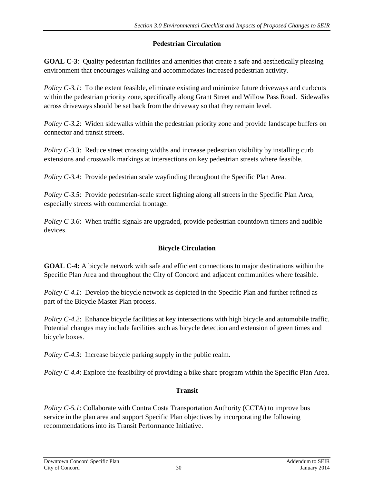# **Pedestrian Circulation**

**GOAL C-3**: Quality pedestrian facilities and amenities that create a safe and aesthetically pleasing environment that encourages walking and accommodates increased pedestrian activity.

*Policy C-3.1*: To the extent feasible, eliminate existing and minimize future driveways and curbcuts within the pedestrian priority zone, specifically along Grant Street and Willow Pass Road. Sidewalks across driveways should be set back from the driveway so that they remain level.

*Policy C-3.2*: Widen sidewalks within the pedestrian priority zone and provide landscape buffers on connector and transit streets.

*Policy C-3.3*: Reduce street crossing widths and increase pedestrian visibility by installing curb extensions and crosswalk markings at intersections on key pedestrian streets where feasible.

*Policy C-3.4*: Provide pedestrian scale wayfinding throughout the Specific Plan Area.

*Policy C-3.5*: Provide pedestrian-scale street lighting along all streets in the Specific Plan Area, especially streets with commercial frontage.

*Policy C-3.6*: When traffic signals are upgraded, provide pedestrian countdown timers and audible devices.

# **Bicycle Circulation**

**GOAL C-4:** A bicycle network with safe and efficient connections to major destinations within the Specific Plan Area and throughout the City of Concord and adjacent communities where feasible.

*Policy C-4.1*: Develop the bicycle network as depicted in the Specific Plan and further refined as part of the Bicycle Master Plan process.

*Policy C-4.2*: Enhance bicycle facilities at key intersections with high bicycle and automobile traffic. Potential changes may include facilities such as bicycle detection and extension of green times and bicycle boxes.

*Policy C-4.3*: Increase bicycle parking supply in the public realm.

*Policy C-4.4*: Explore the feasibility of providing a bike share program within the Specific Plan Area.

# **Transit**

*Policy C-5.1*: Collaborate with Contra Costa Transportation Authority (CCTA) to improve bus service in the plan area and support Specific Plan objectives by incorporating the following recommendations into its Transit Performance Initiative.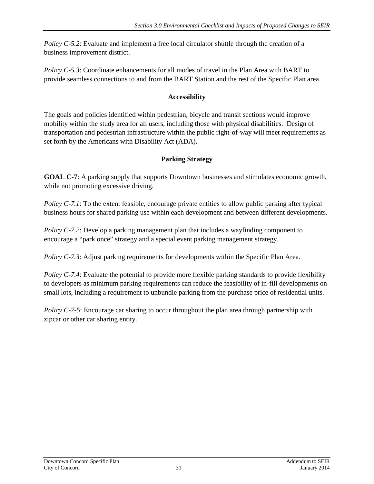*Policy C-5.2*: Evaluate and implement a free local circulator shuttle through the creation of a business improvement district.

*Policy C-5.3:* Coordinate enhancements for all modes of travel in the Plan Area with BART to provide seamless connections to and from the BART Station and the rest of the Specific Plan area.

#### **Accessibility**

The goals and policies identified within pedestrian, bicycle and transit sections would improve mobility within the study area for all users, including those with physical disabilities. Design of transportation and pedestrian infrastructure within the public right-of-way will meet requirements as set forth by the Americans with Disability Act (ADA).

# **Parking Strategy**

**GOAL C-7**: A parking supply that supports Downtown businesses and stimulates economic growth, while not promoting excessive driving.

*Policy C-7.1*: To the extent feasible, encourage private entities to allow public parking after typical business hours for shared parking use within each development and between different developments.

*Policy C-7.2*: Develop a parking management plan that includes a wayfinding component to encourage a "park once" strategy and a special event parking management strategy.

*Policy C-7.3*: Adjust parking requirements for developments within the Specific Plan Area.

*Policy C-7.4*: Evaluate the potential to provide more flexible parking standards to provide flexibility to developers as minimum parking requirements can reduce the feasibility of in-fill developments on small lots, including a requirement to unbundle parking from the purchase price of residential units.

*Policy C-7-5*: Encourage car sharing to occur throughout the plan area through partnership with zipcar or other car sharing entity.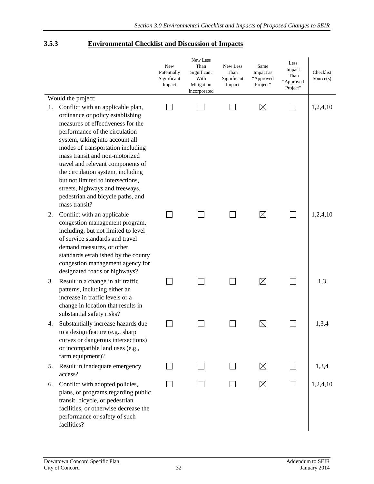#### **3.5.3 Environmental Checklist and Discussion of Impacts**

|    |                                                                                                                                                                                                                                                                                                                                                                                                                                                                                      | New<br>Potentially<br>Significant<br>Impact | New Less<br>Than<br>Significant<br>With<br>Mitigation<br>Incorporated | New Less<br>Than<br>Significant<br>Impact | Same<br>Impact as<br>"Approved<br>Project" | Less<br>Impact<br>Than<br>"Approved<br>Project" | Checklist<br>Source(s) |
|----|--------------------------------------------------------------------------------------------------------------------------------------------------------------------------------------------------------------------------------------------------------------------------------------------------------------------------------------------------------------------------------------------------------------------------------------------------------------------------------------|---------------------------------------------|-----------------------------------------------------------------------|-------------------------------------------|--------------------------------------------|-------------------------------------------------|------------------------|
| 1. | Would the project:<br>Conflict with an applicable plan,<br>ordinance or policy establishing<br>measures of effectiveness for the<br>performance of the circulation<br>system, taking into account all<br>modes of transportation including<br>mass transit and non-motorized<br>travel and relevant components of<br>the circulation system, including<br>but not limited to intersections,<br>streets, highways and freeways,<br>pedestrian and bicycle paths, and<br>mass transit? |                                             |                                                                       |                                           | $\boxtimes$                                | $\mathbf{I}$                                    | 1,2,4,10               |
| 2. | Conflict with an applicable<br>congestion management program,<br>including, but not limited to level<br>of service standards and travel<br>demand measures, or other<br>standards established by the county<br>congestion management agency for<br>designated roads or highways?                                                                                                                                                                                                     |                                             |                                                                       |                                           | $\boxtimes$                                | $\sim$                                          | 1,2,4,10               |
| 3. | Result in a change in air traffic<br>patterns, including either an<br>increase in traffic levels or a<br>change in location that results in<br>substantial safety risks?                                                                                                                                                                                                                                                                                                             |                                             |                                                                       |                                           | $\boxtimes$                                |                                                 | 1,3                    |
| 4. | Substantially increase hazards due<br>to a design feature (e.g., sharp<br>curves or dangerous intersections)<br>or incompatible land uses (e.g.,<br>farm equipment)?                                                                                                                                                                                                                                                                                                                 |                                             |                                                                       |                                           | $\boxtimes$                                |                                                 | 1,3,4                  |
| 5. | Result in inadequate emergency<br>access?                                                                                                                                                                                                                                                                                                                                                                                                                                            |                                             |                                                                       |                                           | $\boxtimes$                                |                                                 | 1,3,4                  |
| 6. | Conflict with adopted policies,<br>plans, or programs regarding public<br>transit, bicycle, or pedestrian<br>facilities, or otherwise decrease the<br>performance or safety of such<br>facilities?                                                                                                                                                                                                                                                                                   |                                             |                                                                       |                                           | $\boxtimes$                                |                                                 | 1,2,4,10               |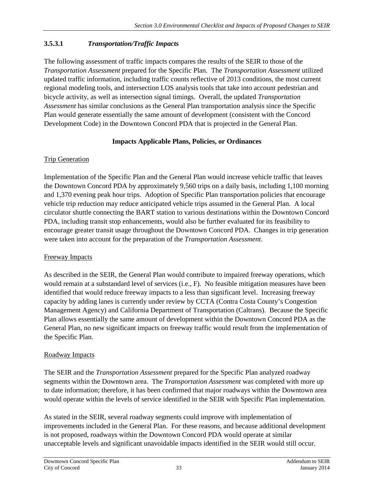# **3.5.3.1** *Transportation/Traffic Impacts*

The following assessment of traffic impacts compares the results of the SEIR to those of the *Transportation Assessment* prepared for the Specific Plan. The *Transportation Assessment* utilized updated traffic information, including traffic counts reflective of 2013 conditions, the most current regional modeling tools, and intersection LOS analysis tools that take into account pedestrian and bicycle activity, as well as intersection signal timings. Overall, the updated *Transportation Assessment* has similar conclusions as the General Plan transportation analysis since the Specific Plan would generate essentially the same amount of development (consistent with the Concord Development Code) in the Downtown Concord PDA that is projected in the General Plan.

#### **Impacts Applicable Plans, Policies, or Ordinances**

#### Trip Generation

Implementation of the Specific Plan and the General Plan would increase vehicle traffic that leaves the Downtown Concord PDA by approximately 9,560 trips on a daily basis, including 1,100 morning and 1,370 evening peak hour trips. Adoption of Specific Plan transportation policies that encourage vehicle trip reduction may reduce anticipated vehicle trips assumed in the General Plan. A local circulator shuttle connecting the BART station to various destinations within the Downtown Concord PDA, including transit stop enhancements, would also be further evaluated for its feasibility to encourage greater transit usage throughout the Downtown Concord PDA. Changes in trip generation were taken into account for the preparation of the *Transportation Assessment*.

## Freeway Impacts

As described in the SEIR, the General Plan would contribute to impaired freeway operations, which would remain at a substandard level of services (i.e., F). No feasible mitigation measures have been identified that would reduce freeway impacts to a less than significant level. Increasing freeway capacity by adding lanes is currently under review by CCTA (Contra Costa County's Congestion Management Agency) and California Department of Transportation (Caltrans). Because the Specific Plan allows essentially the same amount of development within the Downtown Concord PDA as the General Plan, no new significant impacts on freeway traffic would result from the implementation of the Specific Plan.

## Roadway Impacts

The SEIR and the *Transportation Assessment* prepared for the Specific Plan analyzed roadway segments within the Downtown area. The *Transportation Assessment* was completed with more up to date information; therefore, it has been confirmed that major roadways within the Downtown area would operate within the levels of service identified in the SEIR with Specific Plan implementation.

As stated in the SEIR, several roadway segments could improve with implementation of improvements included in the General Plan. For these reasons, and because additional development is not proposed, roadways within the Downtown Concord PDA would operate at similar unacceptable levels and significant unavoidable impacts identified in the SEIR would still occur.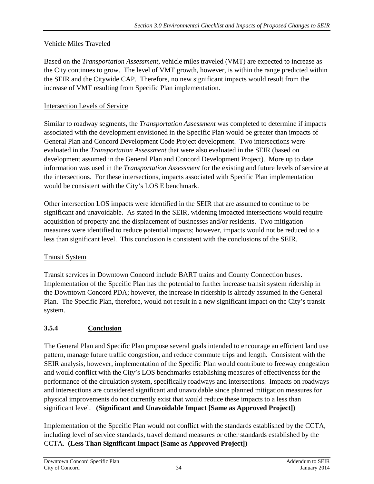## Vehicle Miles Traveled

Based on the *Transportation Assessment*, vehicle miles traveled (VMT) are expected to increase as the City continues to grow. The level of VMT growth, however, is within the range predicted within the SEIR and the Citywide CAP. Therefore, no new significant impacts would result from the increase of VMT resulting from Specific Plan implementation.

## Intersection Levels of Service

Similar to roadway segments, the *Transportation Assessment* was completed to determine if impacts associated with the development envisioned in the Specific Plan would be greater than impacts of General Plan and Concord Development Code Project development. Two intersections were evaluated in the *Transportation Assessment* that were also evaluated in the SEIR (based on development assumed in the General Plan and Concord Development Project). More up to date information was used in the *Transportation Assessment* for the existing and future levels of service at the intersections. For these intersections, impacts associated with Specific Plan implementation would be consistent with the City's LOS E benchmark.

Other intersection LOS impacts were identified in the SEIR that are assumed to continue to be significant and unavoidable. As stated in the SEIR, widening impacted intersections would require acquisition of property and the displacement of businesses and/or residents. Two mitigation measures were identified to reduce potential impacts; however, impacts would not be reduced to a less than significant level. This conclusion is consistent with the conclusions of the SEIR.

# Transit System

Transit services in Downtown Concord include BART trains and County Connection buses. Implementation of the Specific Plan has the potential to further increase transit system ridership in the Downtown Concord PDA; however, the increase in ridership is already assumed in the General Plan. The Specific Plan, therefore, would not result in a new significant impact on the City's transit system.

# **3.5.4 Conclusion**

The General Plan and Specific Plan propose several goals intended to encourage an efficient land use pattern, manage future traffic congestion, and reduce commute trips and length. Consistent with the SEIR analysis, however, implementation of the Specific Plan would contribute to freeway congestion and would conflict with the City's LOS benchmarks establishing measures of effectiveness for the performance of the circulation system, specifically roadways and intersections. Impacts on roadways and intersections are considered significant and unavoidable since planned mitigation measures for physical improvements do not currently exist that would reduce these impacts to a less than significant level. **(Significant and Unavoidable Impact [Same as Approved Project])** 

Implementation of the Specific Plan would not conflict with the standards established by the CCTA, including level of service standards, travel demand measures or other standards established by the CCTA. **(Less Than Significant Impact [Same as Approved Project])**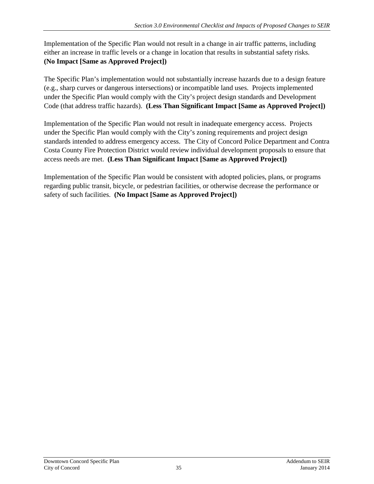Implementation of the Specific Plan would not result in a change in air traffic patterns, including either an increase in traffic levels or a change in location that results in substantial safety risks. **(No Impact [Same as Approved Project])** 

The Specific Plan's implementation would not substantially increase hazards due to a design feature (e.g., sharp curves or dangerous intersections) or incompatible land uses. Projects implemented under the Specific Plan would comply with the City's project design standards and Development Code (that address traffic hazards). **(Less Than Significant Impact [Same as Approved Project])** 

Implementation of the Specific Plan would not result in inadequate emergency access. Projects under the Specific Plan would comply with the City's zoning requirements and project design standards intended to address emergency access. The City of Concord Police Department and Contra Costa County Fire Protection District would review individual development proposals to ensure that access needs are met. **(Less Than Significant Impact [Same as Approved Project])** 

Implementation of the Specific Plan would be consistent with adopted policies, plans, or programs regarding public transit, bicycle, or pedestrian facilities, or otherwise decrease the performance or safety of such facilities. **(No Impact [Same as Approved Project])**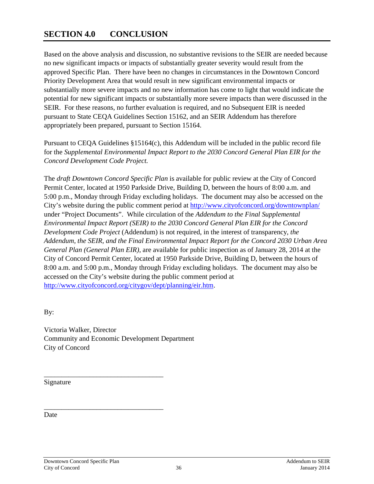# <span id="page-37-0"></span>**SECTION 4.0 CONCLUSION**

Based on the above analysis and discussion, no substantive revisions to the SEIR are needed because no new significant impacts or impacts of substantially greater severity would result from the approved Specific Plan. There have been no changes in circumstances in the Downtown Concord Priority Development Area that would result in new significant environmental impacts or substantially more severe impacts and no new information has come to light that would indicate the potential for new significant impacts or substantially more severe impacts than were discussed in the SEIR. For these reasons, no further evaluation is required, and no Subsequent EIR is needed pursuant to State CEQA Guidelines Section 15162, and an SEIR Addendum has therefore appropriately been prepared, pursuant to Section 15164.

Pursuant to CEQA Guidelines §15164(c), this Addendum will be included in the public record file for the *Supplemental Environmental Impact Report to the 2030 Concord General Plan EIR for the Concord Development Code Project.* 

The *draft Downtown Concord Specific Plan* is available for public review at the City of Concord Permit Center, located at 1950 Parkside Drive, Building D, between the hours of 8:00 a.m. and 5:00 p.m., Monday through Friday excluding holidays. The document may also be accessed on the City's website during the public comment period at<http://www.cityofconcord.org/downtownplan/> under "Project Documents". While circulation of the *Addendum to the Final Supplemental Environmental Impact Report (SEIR) to the 2030 Concord General Plan EIR for the Concord Development Code Project* (Addendum) is not required, in the interest of transparency, *the Addendum, the SEIR, and the Final Environmental Impact Report for the Concord 2030 Urban Area General Plan (General Plan EIR),* are available for public inspection as of January 28, 2014 at the City of Concord Permit Center, located at 1950 Parkside Drive, Building D, between the hours of 8:00 a.m. and 5:00 p.m., Monday through Friday excluding holidays. The document may also be accessed on the City's website during the public comment period at [http://www.cityofconcord.org/citygov/dept/planning/eir.htm.](http://www.cityofconcord.org/citygov/dept/planning/eir.htm)

By:

Victoria Walker, Director Community and Economic Development Department City of Concord

\_\_\_\_\_\_\_\_\_\_\_\_\_\_\_\_\_\_\_\_\_\_\_\_\_\_\_\_\_\_\_\_\_\_ Signature

\_\_\_\_\_\_\_\_\_\_\_\_\_\_\_\_\_\_\_\_\_\_\_\_\_\_\_\_\_\_\_\_\_\_ Date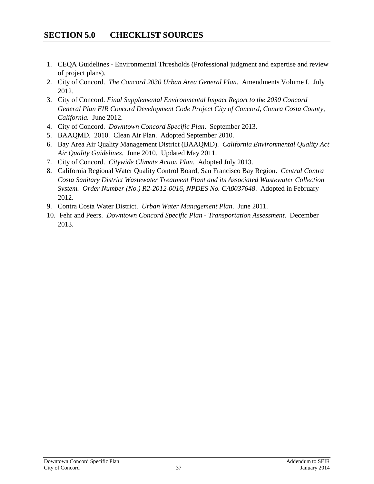- <span id="page-38-0"></span>1. CEQA Guidelines - Environmental Thresholds (Professional judgment and expertise and review of project plans).
- 2. City of Concord. *The Concord 2030 Urban Area General Plan*. Amendments Volume I. July 2012.
- 3. City of Concord. *Final Supplemental Environmental Impact Report to the 2030 Concord General Plan EIR Concord Development Code Project City of Concord, Contra Costa County, California.* June 2012.
- 4. City of Concord. *Downtown Concord Specific Plan*. September 2013.
- 5. BAAQMD. 2010. Clean Air Plan. Adopted September 2010.
- 6. Bay Area Air Quality Management District (BAAQMD). *California Environmental Quality Act Air Quality Guidelines.* June 2010. Updated May 2011.
- 7. City of Concord. *Citywide Climate Action Plan.* Adopted July 2013.
- 8. California Regional Water Quality Control Board, San Francisco Bay Region. *Central Contra Costa Sanitary District Wastewater Treatment Plant and its Associated Wastewater Collection System. Order Number (No.) R2-2012-0016, NPDES No. CA0037648*. Adopted in February 2012.
- 9. Contra Costa Water District. *Urban Water Management Plan*. June 2011.
- 10. Fehr and Peers. *Downtown Concord Specific Plan - Transportation Assessment*. December 2013.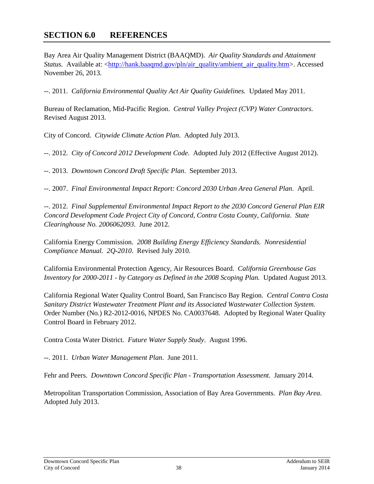# <span id="page-39-0"></span>**SECTION 6.0 REFERENCES**

Bay Area Air Quality Management District (BAAQMD). *Air Quality Standards and Attainment Status.* Available at: [<http://hank.baaqmd.gov/pln/air\\_quality/ambient\\_air\\_quality.htm>](http://hank.baaqmd.gov/pln/air_quality/ambient_air_quality.htm). Accessed November 26, 2013.

--. 2011. *California Environmental Quality Act Air Quality Guidelines.* Updated May 2011.

Bureau of Reclamation, Mid-Pacific Region. *Central Valley Project (CVP) Water Contractors*. Revised August 2013.

City of Concord. *Citywide Climate Action Plan*. Adopted July 2013.

--. 2012. *City of Concord 2012 Development Code*. Adopted July 2012 (Effective August 2012).

--. 2013. *Downtown Concord Draft Specific Plan*. September 2013.

--. 2007. *Final Environmental Impact Report: Concord 2030 Urban Area General Plan*. April.

--. 2012. *Final Supplemental Environmental Impact Report to the 2030 Concord General Plan EIR Concord Development Code Project City of Concord, Contra Costa County, California*. *State Clearinghouse No. 2006062093*. June 2012.

California Energy Commission. *2008 Building Energy Efficiency Standards. Nonresidential Compliance Manual. 2Q-2010*. Revised July 2010.

California Environmental Protection Agency, Air Resources Board. *California Greenhouse Gas Inventory for 2000-2011 - by Category as Defined in the 2008 Scoping Plan.* Updated August 2013.

California Regional Water Quality Control Board, San Francisco Bay Region. *Central Contra Costa Sanitary District Wastewater Treatment Plant and its Associated Wastewater Collection System*. Order Number (No.) R2-2012-0016, NPDES No. CA0037648. Adopted by Regional Water Quality Control Board in February 2012.

Contra Costa Water District. *Future Water Supply Study*. August 1996.

--. 2011. *Urban Water Management Plan*. June 2011.

Fehr and Peers. *Downtown Concord Specific Plan - Transportation Assessment*. January 2014.

Metropolitan Transportation Commission, Association of Bay Area Governments. *Plan Bay Area*. Adopted July 2013.